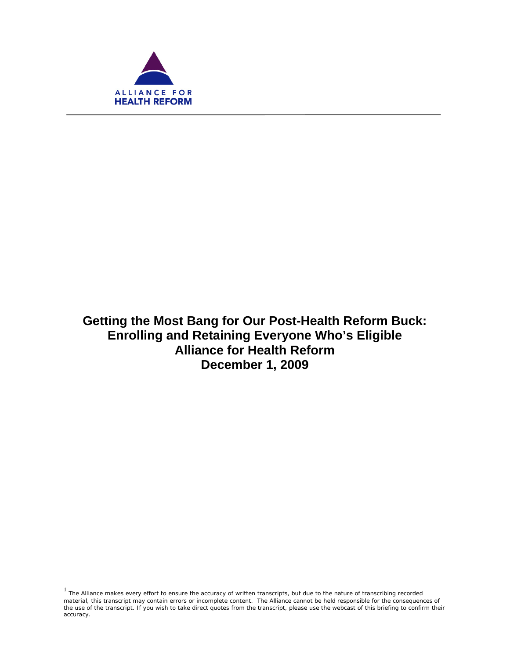

f

**Getting the Most Bang for Our Post-Health Reform Buck: Enrolling and Retaining Everyone Who's Eligible Alliance for Health Reform December 1, 2009** 

 $1$  The Alliance makes every effort to ensure the accuracy of written transcripts, but due to the nature of transcribing recorded material, this transcript may contain errors or incomplete content. The Alliance cannot be held responsible for the consequences of the use of the transcript. If you wish to take direct quotes from the transcript, please use the webcast of this briefing to confirm their accuracy.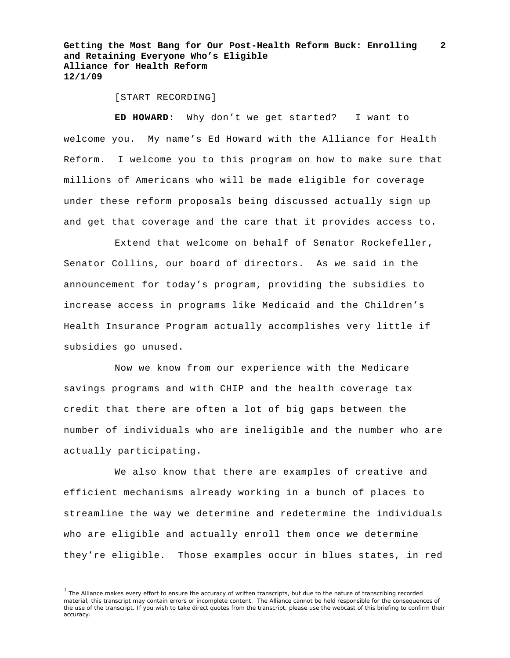[START RECORDING]

**ED HOWARD:** Why don't we get started? I want to welcome you. My name's Ed Howard with the Alliance for Health Reform. I welcome you to this program on how to make sure that millions of Americans who will be made eligible for coverage under these reform proposals being discussed actually sign up and get that coverage and the care that it provides access to.

Extend that welcome on behalf of Senator Rockefeller, Senator Collins, our board of directors. As we said in the announcement for today's program, providing the subsidies to increase access in programs like Medicaid and the Children's Health Insurance Program actually accomplishes very little if subsidies go unused.

Now we know from our experience with the Medicare savings programs and with CHIP and the health coverage tax credit that there are often a lot of big gaps between the number of individuals who are ineligible and the number who are actually participating.

We also know that there are examples of creative and efficient mechanisms already working in a bunch of places to streamline the way we determine and redetermine the individuals who are eligible and actually enroll them once we determine they're eligible. Those examples occur in blues states, in red

<sup>&</sup>lt;sup>1</sup> The Alliance makes every effort to ensure the accuracy of written transcripts, but due to the nature of transcribing recorded material, this transcript may contain errors or incomplete content. The Alliance cannot be held responsible for the consequences of the use of the transcript. If you wish to take direct quotes from the transcript, please use the webcast of this briefing to confirm their accuracy.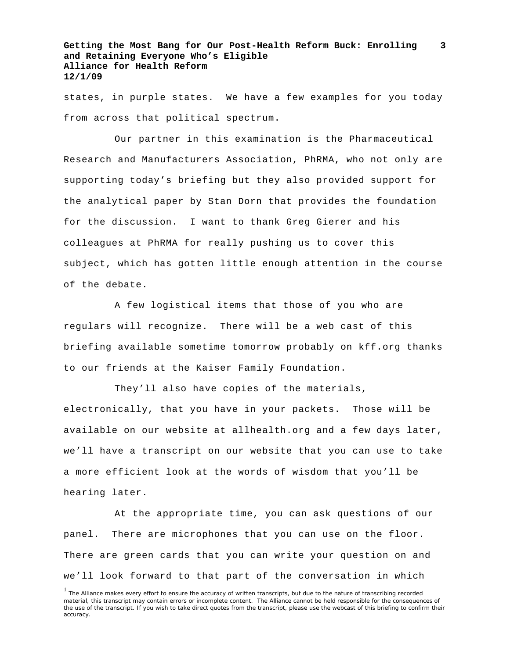states, in purple states. We have a few examples for you today from across that political spectrum.

Our partner in this examination is the Pharmaceutical Research and Manufacturers Association, PhRMA, who not only are supporting today's briefing but they also provided support for the analytical paper by Stan Dorn that provides the foundation for the discussion. I want to thank Greg Gierer and his colleagues at PhRMA for really pushing us to cover this subject, which has gotten little enough attention in the course of the debate.

A few logistical items that those of you who are regulars will recognize. There will be a web cast of this briefing available sometime tomorrow probably on kff.org thanks to our friends at the Kaiser Family Foundation.

They'll also have copies of the materials, electronically, that you have in your packets. Those will be available on our website at allhealth.org and a few days later, we'll have a transcript on our website that you can use to take a more efficient look at the words of wisdom that you'll be hearing later.

At the appropriate time, you can ask questions of our panel. There are microphones that you can use on the floor. There are green cards that you can write your question on and we'll look forward to that part of the conversation in which

<sup>&</sup>lt;sup>1</sup> The Alliance makes every effort to ensure the accuracy of written transcripts, but due to the nature of transcribing recorded material, this transcript may contain errors or incomplete content. The Alliance cannot be held responsible for the consequences of the use of the transcript. If you wish to take direct quotes from the transcript, please use the webcast of this briefing to confirm their accuracy.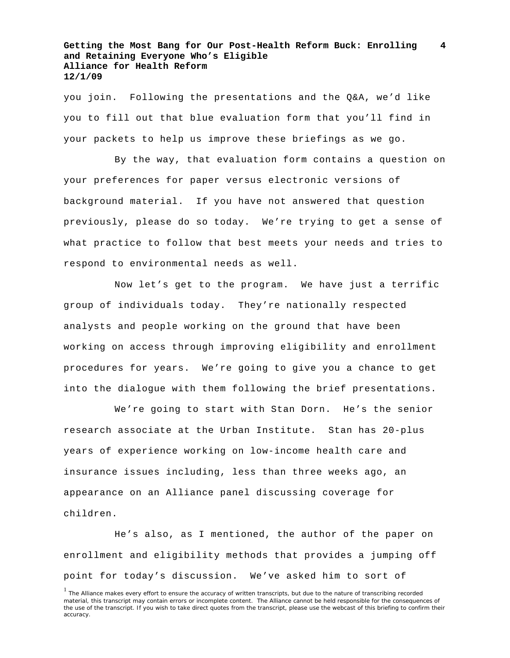you join. Following the presentations and the Q&A, we'd like you to fill out that blue evaluation form that you'll find in your packets to help us improve these briefings as we go.

By the way, that evaluation form contains a question on your preferences for paper versus electronic versions of background material. If you have not answered that question previously, please do so today. We're trying to get a sense of what practice to follow that best meets your needs and tries to respond to environmental needs as well.

Now let's get to the program. We have just a terrific group of individuals today. They're nationally respected analysts and people working on the ground that have been working on access through improving eligibility and enrollment procedures for years. We're going to give you a chance to get into the dialogue with them following the brief presentations.

We're going to start with Stan Dorn. He's the senior research associate at the Urban Institute. Stan has 20-plus years of experience working on low-income health care and insurance issues including, less than three weeks ago, an appearance on an Alliance panel discussing coverage for children.

He's also, as I mentioned, the author of the paper on enrollment and eligibility methods that provides a jumping off point for today's discussion. We've asked him to sort of

<sup>&</sup>lt;sup>1</sup> The Alliance makes every effort to ensure the accuracy of written transcripts, but due to the nature of transcribing recorded material, this transcript may contain errors or incomplete content. The Alliance cannot be held responsible for the consequences of the use of the transcript. If you wish to take direct quotes from the transcript, please use the webcast of this briefing to confirm their accuracy.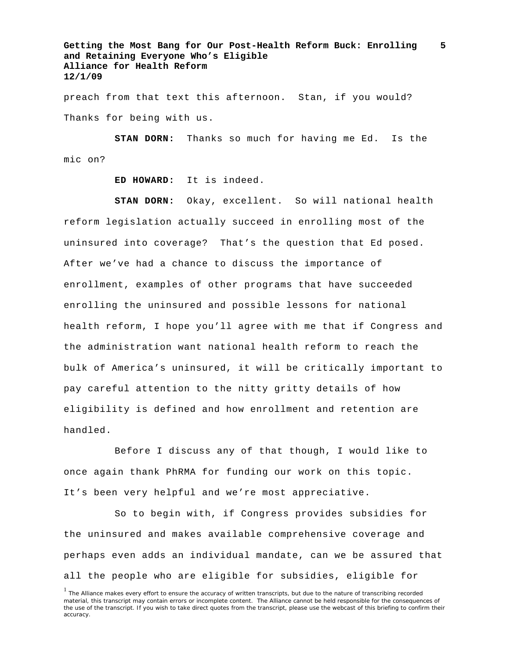preach from that text this afternoon. Stan, if you would? Thanks for being with us.

**STAN DORN:** Thanks so much for having me Ed. Is the mic on?

**ED HOWARD:** It is indeed.

**STAN DORN:** Okay, excellent. So will national health reform legislation actually succeed in enrolling most of the uninsured into coverage? That's the question that Ed posed. After we've had a chance to discuss the importance of enrollment, examples of other programs that have succeeded enrolling the uninsured and possible lessons for national health reform, I hope you'll agree with me that if Congress and the administration want national health reform to reach the bulk of America's uninsured, it will be critically important to pay careful attention to the nitty gritty details of how eligibility is defined and how enrollment and retention are handled.

Before I discuss any of that though, I would like to once again thank PhRMA for funding our work on this topic. It's been very helpful and we're most appreciative.

So to begin with, if Congress provides subsidies for the uninsured and makes available comprehensive coverage and perhaps even adds an individual mandate, can we be assured that all the people who are eligible for subsidies, eligible for

<sup>&</sup>lt;sup>1</sup> The Alliance makes every effort to ensure the accuracy of written transcripts, but due to the nature of transcribing recorded material, this transcript may contain errors or incomplete content. The Alliance cannot be held responsible for the consequences of the use of the transcript. If you wish to take direct quotes from the transcript, please use the webcast of this briefing to confirm their accuracy.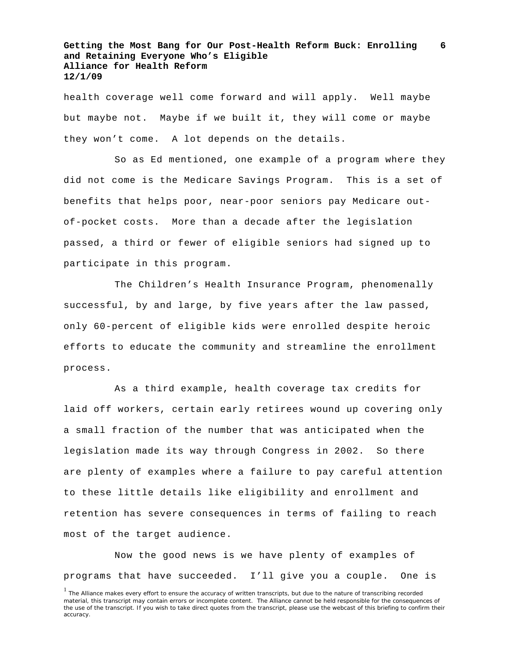health coverage well come forward and will apply. Well maybe but maybe not. Maybe if we built it, they will come or maybe they won't come. A lot depends on the details.

So as Ed mentioned, one example of a program where they did not come is the Medicare Savings Program. This is a set of benefits that helps poor, near-poor seniors pay Medicare outof-pocket costs. More than a decade after the legislation passed, a third or fewer of eligible seniors had signed up to participate in this program.

The Children's Health Insurance Program, phenomenally successful, by and large, by five years after the law passed, only 60-percent of eligible kids were enrolled despite heroic efforts to educate the community and streamline the enrollment process.

As a third example, health coverage tax credits for laid off workers, certain early retirees wound up covering only a small fraction of the number that was anticipated when the legislation made its way through Congress in 2002. So there are plenty of examples where a failure to pay careful attention to these little details like eligibility and enrollment and retention has severe consequences in terms of failing to reach most of the target audience.

Now the good news is we have plenty of examples of programs that have succeeded. I'll give you a couple. One is

<sup>&</sup>lt;sup>1</sup> The Alliance makes every effort to ensure the accuracy of written transcripts, but due to the nature of transcribing recorded material, this transcript may contain errors or incomplete content. The Alliance cannot be held responsible for the consequences of the use of the transcript. If you wish to take direct quotes from the transcript, please use the webcast of this briefing to confirm their accuracy.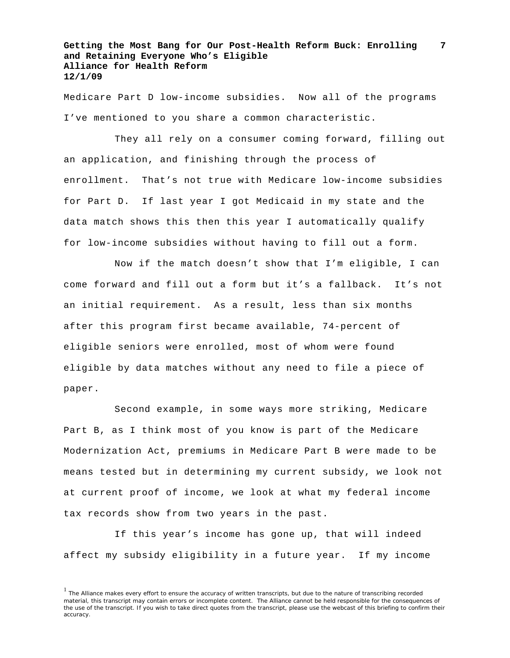Medicare Part D low-income subsidies. Now all of the programs I've mentioned to you share a common characteristic.

They all rely on a consumer coming forward, filling out an application, and finishing through the process of enrollment. That's not true with Medicare low-income subsidies for Part D. If last year I got Medicaid in my state and the data match shows this then this year I automatically qualify for low-income subsidies without having to fill out a form.

Now if the match doesn't show that I'm eligible, I can come forward and fill out a form but it's a fallback. It's not an initial requirement. As a result, less than six months after this program first became available, 74-percent of eligible seniors were enrolled, most of whom were found eligible by data matches without any need to file a piece of paper.

Second example, in some ways more striking, Medicare Part B, as I think most of you know is part of the Medicare Modernization Act, premiums in Medicare Part B were made to be means tested but in determining my current subsidy, we look not at current proof of income, we look at what my federal income tax records show from two years in the past.

If this year's income has gone up, that will indeed affect my subsidy eligibility in a future year. If my income

 $<sup>1</sup>$  The Alliance makes every effort to ensure the accuracy of written transcripts, but due to the nature of transcribing recorded</sup> material, this transcript may contain errors or incomplete content. The Alliance cannot be held responsible for the consequences of the use of the transcript. If you wish to take direct quotes from the transcript, please use the webcast of this briefing to confirm their accuracy.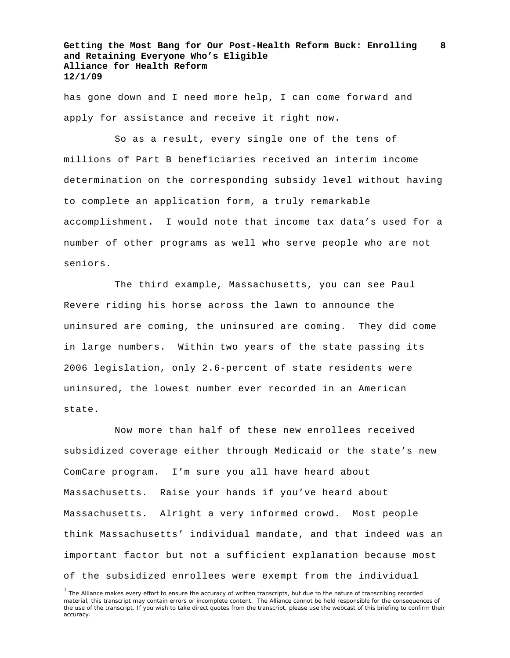has gone down and I need more help, I can come forward and apply for assistance and receive it right now.

So as a result, every single one of the tens of millions of Part B beneficiaries received an interim income determination on the corresponding subsidy level without having to complete an application form, a truly remarkable accomplishment. I would note that income tax data's used for a number of other programs as well who serve people who are not seniors.

The third example, Massachusetts, you can see Paul Revere riding his horse across the lawn to announce the uninsured are coming, the uninsured are coming. They did come in large numbers. Within two years of the state passing its 2006 legislation, only 2.6-percent of state residents were uninsured, the lowest number ever recorded in an American state.

Now more than half of these new enrollees received subsidized coverage either through Medicaid or the state's new ComCare program. I'm sure you all have heard about Massachusetts. Raise your hands if you've heard about Massachusetts. Alright a very informed crowd. Most people think Massachusetts' individual mandate, and that indeed was an important factor but not a sufficient explanation because most of the subsidized enrollees were exempt from the individual

<sup>&</sup>lt;sup>1</sup> The Alliance makes every effort to ensure the accuracy of written transcripts, but due to the nature of transcribing recorded material, this transcript may contain errors or incomplete content. The Alliance cannot be held responsible for the consequences of the use of the transcript. If you wish to take direct quotes from the transcript, please use the webcast of this briefing to confirm their accuracy.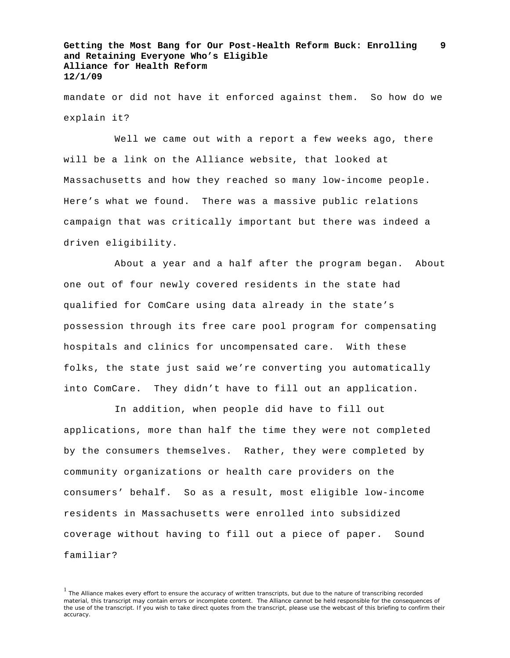mandate or did not have it enforced against them. So how do we explain it?

Well we came out with a report a few weeks ago, there will be a link on the Alliance website, that looked at Massachusetts and how they reached so many low-income people. Here's what we found. There was a massive public relations campaign that was critically important but there was indeed a driven eligibility.

About a year and a half after the program began. About one out of four newly covered residents in the state had qualified for ComCare using data already in the state's possession through its free care pool program for compensating hospitals and clinics for uncompensated care. With these folks, the state just said we're converting you automatically into ComCare. They didn't have to fill out an application.

In addition, when people did have to fill out applications, more than half the time they were not completed by the consumers themselves. Rather, they were completed by community organizations or health care providers on the consumers' behalf. So as a result, most eligible low-income residents in Massachusetts were enrolled into subsidized coverage without having to fill out a piece of paper. Sound familiar?

 $<sup>1</sup>$  The Alliance makes every effort to ensure the accuracy of written transcripts, but due to the nature of transcribing recorded</sup> material, this transcript may contain errors or incomplete content. The Alliance cannot be held responsible for the consequences of the use of the transcript. If you wish to take direct quotes from the transcript, please use the webcast of this briefing to confirm their accuracy.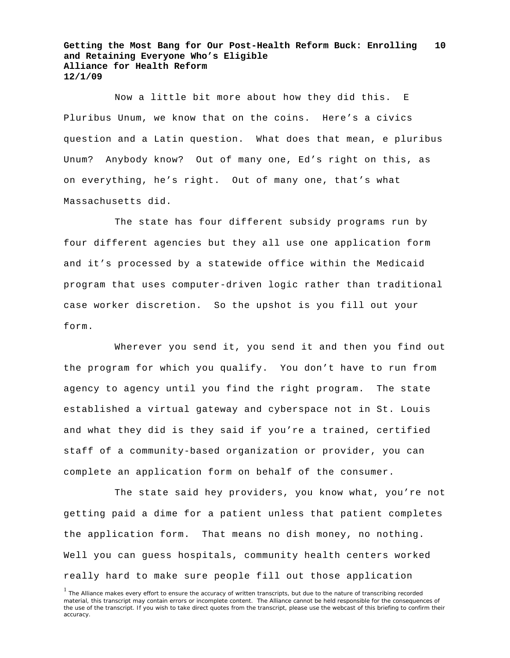Now a little bit more about how they did this. E Pluribus Unum, we know that on the coins. Here's a civics question and a Latin question. What does that mean, e pluribus Unum? Anybody know? Out of many one, Ed's right on this, as on everything, he's right. Out of many one, that's what Massachusetts did.

The state has four different subsidy programs run by four different agencies but they all use one application form and it's processed by a statewide office within the Medicaid program that uses computer-driven logic rather than traditional case worker discretion. So the upshot is you fill out your form.

Wherever you send it, you send it and then you find out the program for which you qualify. You don't have to run from agency to agency until you find the right program. The state established a virtual gateway and cyberspace not in St. Louis and what they did is they said if you're a trained, certified staff of a community-based organization or provider, you can complete an application form on behalf of the consumer.

The state said hey providers, you know what, you're not getting paid a dime for a patient unless that patient completes the application form. That means no dish money, no nothing. Well you can guess hospitals, community health centers worked really hard to make sure people fill out those application

<sup>&</sup>lt;sup>1</sup> The Alliance makes every effort to ensure the accuracy of written transcripts, but due to the nature of transcribing recorded material, this transcript may contain errors or incomplete content. The Alliance cannot be held responsible for the consequences of the use of the transcript. If you wish to take direct quotes from the transcript, please use the webcast of this briefing to confirm their accuracy.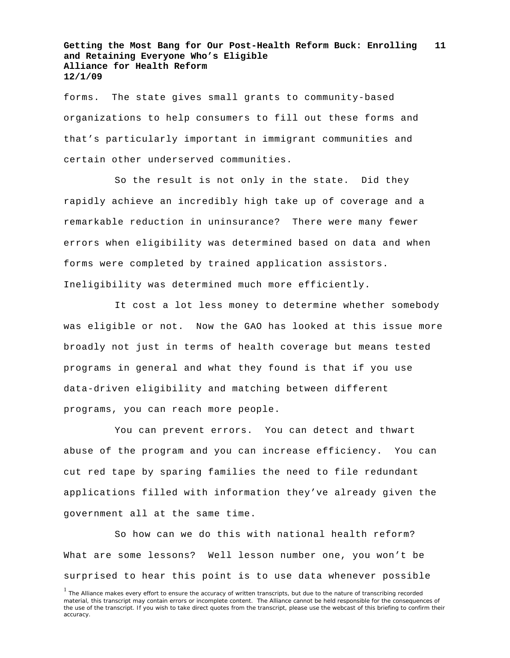forms. The state gives small grants to community-based organizations to help consumers to fill out these forms and that's particularly important in immigrant communities and certain other underserved communities.

So the result is not only in the state. Did they rapidly achieve an incredibly high take up of coverage and a remarkable reduction in uninsurance? There were many fewer errors when eligibility was determined based on data and when forms were completed by trained application assistors. Ineligibility was determined much more efficiently.

It cost a lot less money to determine whether somebody was eligible or not. Now the GAO has looked at this issue more broadly not just in terms of health coverage but means tested programs in general and what they found is that if you use data-driven eligibility and matching between different programs, you can reach more people.

You can prevent errors. You can detect and thwart abuse of the program and you can increase efficiency. You can cut red tape by sparing families the need to file redundant applications filled with information they've already given the government all at the same time.

So how can we do this with national health reform? What are some lessons? Well lesson number one, you won't be surprised to hear this point is to use data whenever possible

<sup>&</sup>lt;sup>1</sup> The Alliance makes every effort to ensure the accuracy of written transcripts, but due to the nature of transcribing recorded material, this transcript may contain errors or incomplete content. The Alliance cannot be held responsible for the consequences of the use of the transcript. If you wish to take direct quotes from the transcript, please use the webcast of this briefing to confirm their accuracy.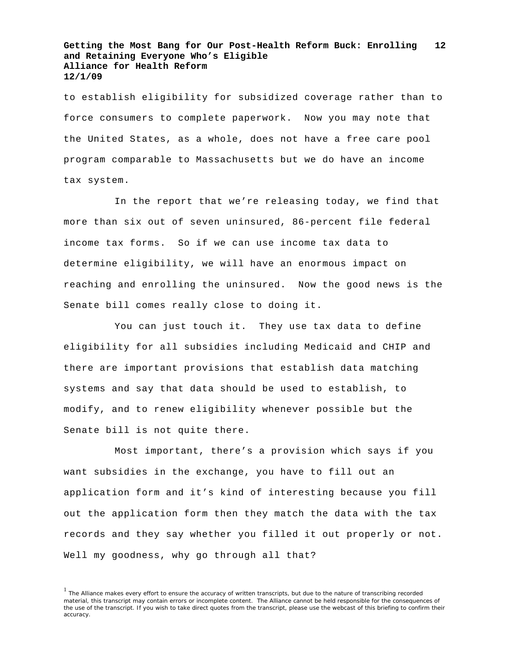to establish eligibility for subsidized coverage rather than to force consumers to complete paperwork. Now you may note that the United States, as a whole, does not have a free care pool program comparable to Massachusetts but we do have an income tax system.

In the report that we're releasing today, we find that more than six out of seven uninsured, 86-percent file federal income tax forms. So if we can use income tax data to determine eligibility, we will have an enormous impact on reaching and enrolling the uninsured. Now the good news is the Senate bill comes really close to doing it.

You can just touch it. They use tax data to define eligibility for all subsidies including Medicaid and CHIP and there are important provisions that establish data matching systems and say that data should be used to establish, to modify, and to renew eligibility whenever possible but the Senate bill is not quite there.

Most important, there's a provision which says if you want subsidies in the exchange, you have to fill out an application form and it's kind of interesting because you fill out the application form then they match the data with the tax records and they say whether you filled it out properly or not. Well my goodness, why go through all that?

<sup>&</sup>lt;sup>1</sup> The Alliance makes every effort to ensure the accuracy of written transcripts, but due to the nature of transcribing recorded material, this transcript may contain errors or incomplete content. The Alliance cannot be held responsible for the consequences of the use of the transcript. If you wish to take direct quotes from the transcript, please use the webcast of this briefing to confirm their accuracy.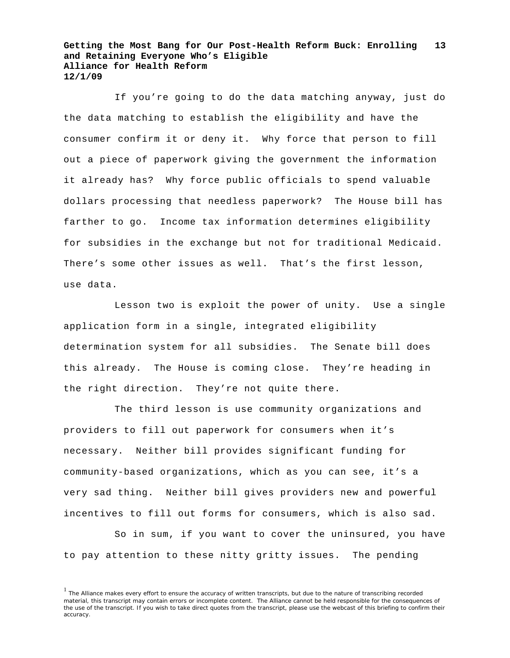If you're going to do the data matching anyway, just do the data matching to establish the eligibility and have the consumer confirm it or deny it. Why force that person to fill out a piece of paperwork giving the government the information it already has? Why force public officials to spend valuable dollars processing that needless paperwork? The House bill has farther to go. Income tax information determines eligibility for subsidies in the exchange but not for traditional Medicaid. There's some other issues as well. That's the first lesson, use data.

Lesson two is exploit the power of unity. Use a single application form in a single, integrated eligibility determination system for all subsidies. The Senate bill does this already. The House is coming close. They're heading in the right direction. They're not quite there.

The third lesson is use community organizations and providers to fill out paperwork for consumers when it's necessary. Neither bill provides significant funding for community-based organizations, which as you can see, it's a very sad thing. Neither bill gives providers new and powerful incentives to fill out forms for consumers, which is also sad.

So in sum, if you want to cover the uninsured, you have to pay attention to these nitty gritty issues. The pending

<sup>&</sup>lt;sup>1</sup> The Alliance makes every effort to ensure the accuracy of written transcripts, but due to the nature of transcribing recorded material, this transcript may contain errors or incomplete content. The Alliance cannot be held responsible for the consequences of the use of the transcript. If you wish to take direct quotes from the transcript, please use the webcast of this briefing to confirm their accuracy.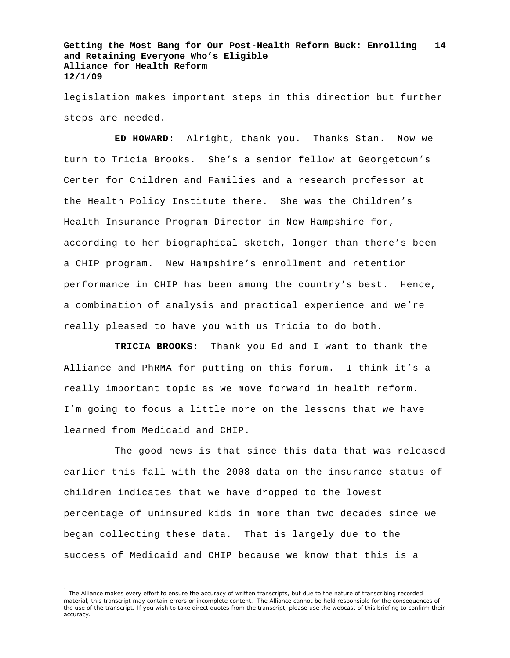legislation makes important steps in this direction but further steps are needed.

**ED HOWARD:** Alright, thank you. Thanks Stan. Now we turn to Tricia Brooks. She's a senior fellow at Georgetown's Center for Children and Families and a research professor at the Health Policy Institute there. She was the Children's Health Insurance Program Director in New Hampshire for, according to her biographical sketch, longer than there's been a CHIP program. New Hampshire's enrollment and retention performance in CHIP has been among the country's best. Hence, a combination of analysis and practical experience and we're really pleased to have you with us Tricia to do both.

**TRICIA BROOKS:** Thank you Ed and I want to thank the Alliance and PhRMA for putting on this forum. I think it's a really important topic as we move forward in health reform. I'm going to focus a little more on the lessons that we have learned from Medicaid and CHIP.

The good news is that since this data that was released earlier this fall with the 2008 data on the insurance status of children indicates that we have dropped to the lowest percentage of uninsured kids in more than two decades since we began collecting these data. That is largely due to the success of Medicaid and CHIP because we know that this is a

<sup>&</sup>lt;sup>1</sup> The Alliance makes every effort to ensure the accuracy of written transcripts, but due to the nature of transcribing recorded material, this transcript may contain errors or incomplete content. The Alliance cannot be held responsible for the consequences of the use of the transcript. If you wish to take direct quotes from the transcript, please use the webcast of this briefing to confirm their accuracy.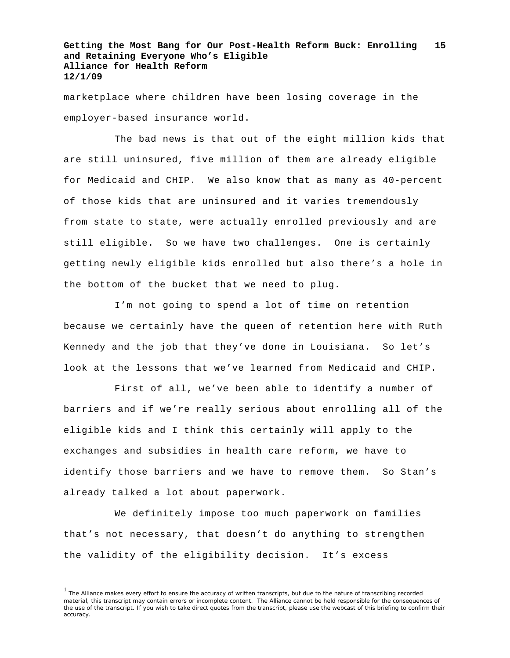marketplace where children have been losing coverage in the employer-based insurance world.

The bad news is that out of the eight million kids that are still uninsured, five million of them are already eligible for Medicaid and CHIP. We also know that as many as 40-percent of those kids that are uninsured and it varies tremendously from state to state, were actually enrolled previously and are still eligible. So we have two challenges. One is certainly getting newly eligible kids enrolled but also there's a hole in the bottom of the bucket that we need to plug.

I'm not going to spend a lot of time on retention because we certainly have the queen of retention here with Ruth Kennedy and the job that they've done in Louisiana. So let's look at the lessons that we've learned from Medicaid and CHIP.

First of all, we've been able to identify a number of barriers and if we're really serious about enrolling all of the eligible kids and I think this certainly will apply to the exchanges and subsidies in health care reform, we have to identify those barriers and we have to remove them. So Stan's already talked a lot about paperwork.

We definitely impose too much paperwork on families that's not necessary, that doesn't do anything to strengthen the validity of the eligibility decision. It's excess

 $<sup>1</sup>$  The Alliance makes every effort to ensure the accuracy of written transcripts, but due to the nature of transcribing recorded</sup> material, this transcript may contain errors or incomplete content. The Alliance cannot be held responsible for the consequences of the use of the transcript. If you wish to take direct quotes from the transcript, please use the webcast of this briefing to confirm their accuracy.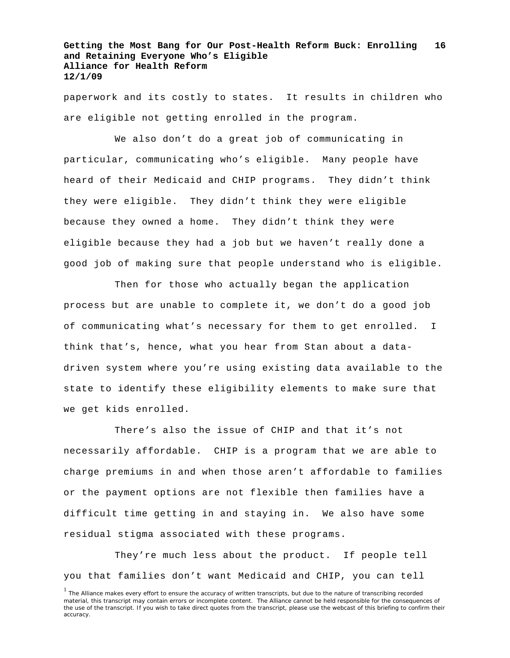paperwork and its costly to states. It results in children who are eligible not getting enrolled in the program.

We also don't do a great job of communicating in particular, communicating who's eligible. Many people have heard of their Medicaid and CHIP programs. They didn't think they were eligible. They didn't think they were eligible because they owned a home. They didn't think they were eligible because they had a job but we haven't really done a good job of making sure that people understand who is eligible.

Then for those who actually began the application process but are unable to complete it, we don't do a good job of communicating what's necessary for them to get enrolled. I think that's, hence, what you hear from Stan about a datadriven system where you're using existing data available to the state to identify these eligibility elements to make sure that we get kids enrolled.

There's also the issue of CHIP and that it's not necessarily affordable. CHIP is a program that we are able to charge premiums in and when those aren't affordable to families or the payment options are not flexible then families have a difficult time getting in and staying in. We also have some residual stigma associated with these programs.

They're much less about the product. If people tell you that families don't want Medicaid and CHIP, you can tell

<sup>&</sup>lt;sup>1</sup> The Alliance makes every effort to ensure the accuracy of written transcripts, but due to the nature of transcribing recorded material, this transcript may contain errors or incomplete content. The Alliance cannot be held responsible for the consequences of the use of the transcript. If you wish to take direct quotes from the transcript, please use the webcast of this briefing to confirm their accuracy.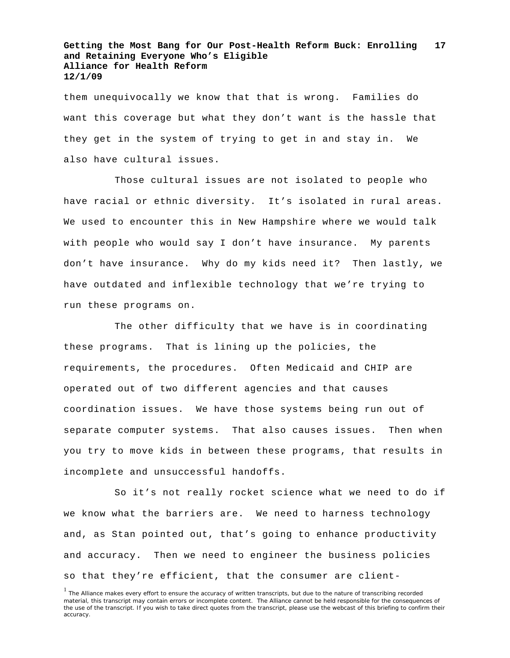them unequivocally we know that that is wrong. Families do want this coverage but what they don't want is the hassle that they get in the system of trying to get in and stay in. We also have cultural issues.

Those cultural issues are not isolated to people who have racial or ethnic diversity. It's isolated in rural areas. We used to encounter this in New Hampshire where we would talk with people who would say I don't have insurance. My parents don't have insurance. Why do my kids need it? Then lastly, we have outdated and inflexible technology that we're trying to run these programs on.

The other difficulty that we have is in coordinating these programs. That is lining up the policies, the requirements, the procedures. Often Medicaid and CHIP are operated out of two different agencies and that causes coordination issues. We have those systems being run out of separate computer systems. That also causes issues. Then when you try to move kids in between these programs, that results in incomplete and unsuccessful handoffs.

So it's not really rocket science what we need to do if we know what the barriers are. We need to harness technology and, as Stan pointed out, that's going to enhance productivity and accuracy. Then we need to engineer the business policies so that they're efficient, that the consumer are client-

<sup>&</sup>lt;sup>1</sup> The Alliance makes every effort to ensure the accuracy of written transcripts, but due to the nature of transcribing recorded material, this transcript may contain errors or incomplete content. The Alliance cannot be held responsible for the consequences of the use of the transcript. If you wish to take direct quotes from the transcript, please use the webcast of this briefing to confirm their accuracy.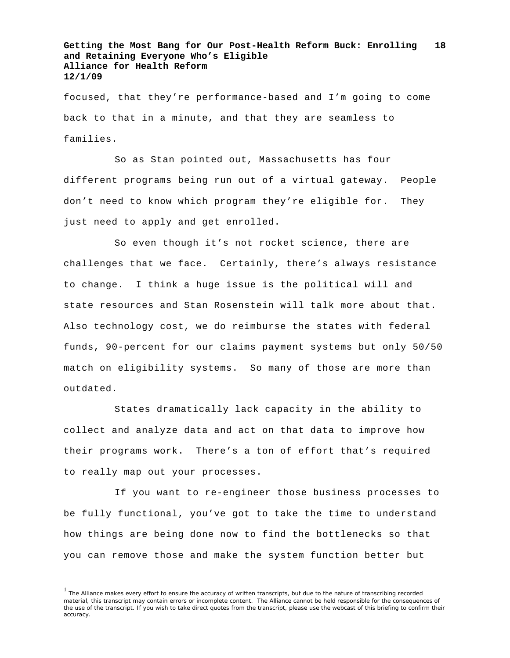focused, that they're performance-based and I'm going to come back to that in a minute, and that they are seamless to families.

So as Stan pointed out, Massachusetts has four different programs being run out of a virtual gateway. People don't need to know which program they're eligible for. They just need to apply and get enrolled.

So even though it's not rocket science, there are challenges that we face. Certainly, there's always resistance to change. I think a huge issue is the political will and state resources and Stan Rosenstein will talk more about that. Also technology cost, we do reimburse the states with federal funds, 90-percent for our claims payment systems but only 50/50 match on eligibility systems. So many of those are more than outdated.

States dramatically lack capacity in the ability to collect and analyze data and act on that data to improve how their programs work. There's a ton of effort that's required to really map out your processes.

If you want to re-engineer those business processes to be fully functional, you've got to take the time to understand how things are being done now to find the bottlenecks so that you can remove those and make the system function better but

 $<sup>1</sup>$  The Alliance makes every effort to ensure the accuracy of written transcripts, but due to the nature of transcribing recorded</sup> material, this transcript may contain errors or incomplete content. The Alliance cannot be held responsible for the consequences of the use of the transcript. If you wish to take direct quotes from the transcript, please use the webcast of this briefing to confirm their accuracy.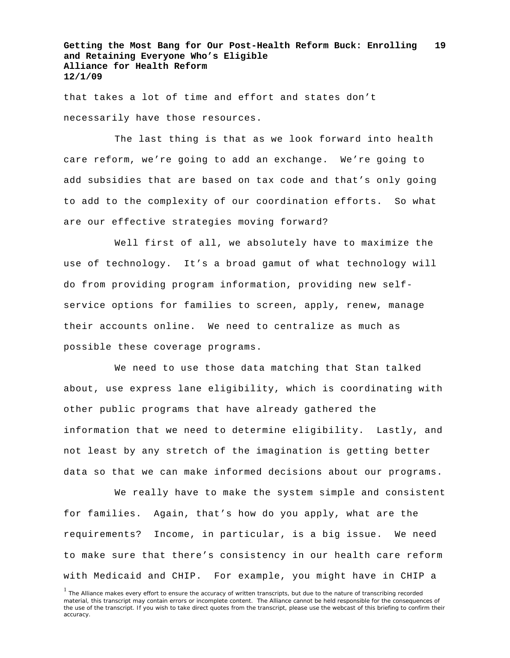that takes a lot of time and effort and states don't necessarily have those resources.

The last thing is that as we look forward into health care reform, we're going to add an exchange. We're going to add subsidies that are based on tax code and that's only going to add to the complexity of our coordination efforts. So what are our effective strategies moving forward?

Well first of all, we absolutely have to maximize the use of technology. It's a broad gamut of what technology will do from providing program information, providing new selfservice options for families to screen, apply, renew, manage their accounts online. We need to centralize as much as possible these coverage programs.

We need to use those data matching that Stan talked about, use express lane eligibility, which is coordinating with other public programs that have already gathered the information that we need to determine eligibility. Lastly, and not least by any stretch of the imagination is getting better data so that we can make informed decisions about our programs.

We really have to make the system simple and consistent for families. Again, that's how do you apply, what are the requirements? Income, in particular, is a big issue. We need to make sure that there's consistency in our health care reform with Medicaid and CHIP. For example, you might have in CHIP a

<sup>&</sup>lt;sup>1</sup> The Alliance makes every effort to ensure the accuracy of written transcripts, but due to the nature of transcribing recorded material, this transcript may contain errors or incomplete content. The Alliance cannot be held responsible for the consequences of the use of the transcript. If you wish to take direct quotes from the transcript, please use the webcast of this briefing to confirm their accuracy.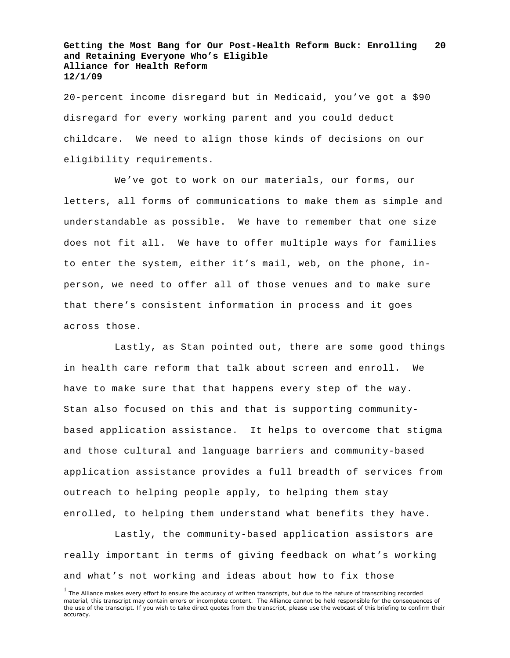20-percent income disregard but in Medicaid, you've got a \$90 disregard for every working parent and you could deduct childcare. We need to align those kinds of decisions on our eligibility requirements.

We've got to work on our materials, our forms, our letters, all forms of communications to make them as simple and understandable as possible. We have to remember that one size does not fit all. We have to offer multiple ways for families to enter the system, either it's mail, web, on the phone, inperson, we need to offer all of those venues and to make sure that there's consistent information in process and it goes across those.

Lastly, as Stan pointed out, there are some good things in health care reform that talk about screen and enroll. We have to make sure that that happens every step of the way. Stan also focused on this and that is supporting communitybased application assistance. It helps to overcome that stigma and those cultural and language barriers and community-based application assistance provides a full breadth of services from outreach to helping people apply, to helping them stay enrolled, to helping them understand what benefits they have.

Lastly, the community-based application assistors are really important in terms of giving feedback on what's working and what's not working and ideas about how to fix those

<sup>&</sup>lt;sup>1</sup> The Alliance makes every effort to ensure the accuracy of written transcripts, but due to the nature of transcribing recorded material, this transcript may contain errors or incomplete content. The Alliance cannot be held responsible for the consequences of the use of the transcript. If you wish to take direct quotes from the transcript, please use the webcast of this briefing to confirm their accuracy.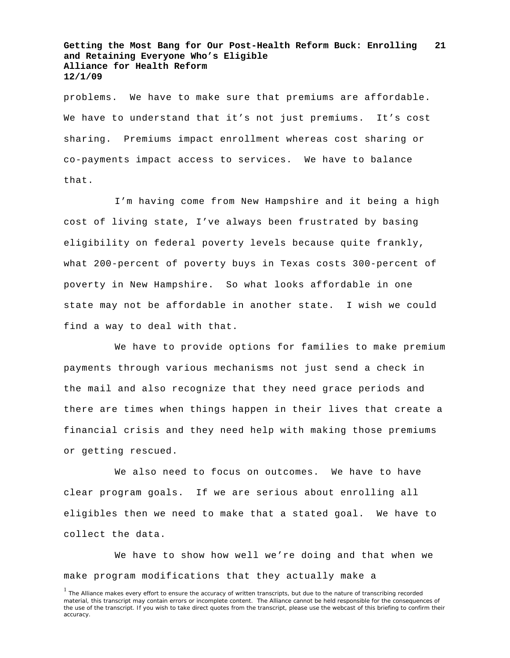problems. We have to make sure that premiums are affordable. We have to understand that it's not just premiums. It's cost sharing. Premiums impact enrollment whereas cost sharing or co-payments impact access to services. We have to balance that.

I'm having come from New Hampshire and it being a high cost of living state, I've always been frustrated by basing eligibility on federal poverty levels because quite frankly, what 200-percent of poverty buys in Texas costs 300-percent of poverty in New Hampshire. So what looks affordable in one state may not be affordable in another state. I wish we could find a way to deal with that.

We have to provide options for families to make premium payments through various mechanisms not just send a check in the mail and also recognize that they need grace periods and there are times when things happen in their lives that create a financial crisis and they need help with making those premiums or getting rescued.

We also need to focus on outcomes. We have to have clear program goals. If we are serious about enrolling all eligibles then we need to make that a stated goal. We have to collect the data.

We have to show how well we're doing and that when we make program modifications that they actually make a

<sup>&</sup>lt;sup>1</sup> The Alliance makes every effort to ensure the accuracy of written transcripts, but due to the nature of transcribing recorded material, this transcript may contain errors or incomplete content. The Alliance cannot be held responsible for the consequences of the use of the transcript. If you wish to take direct quotes from the transcript, please use the webcast of this briefing to confirm their accuracy.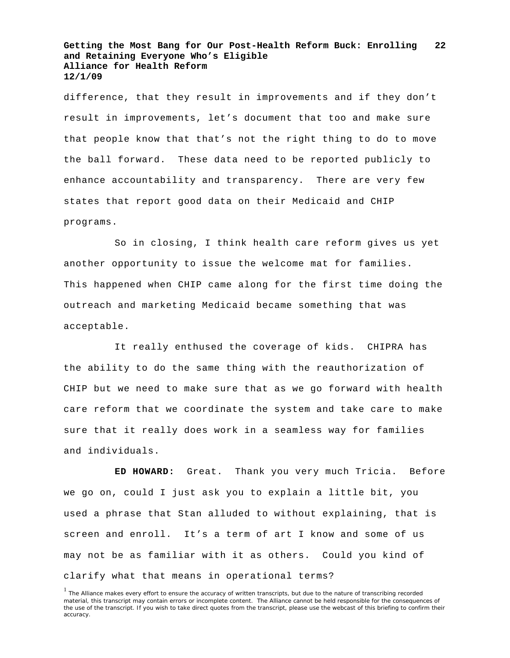difference, that they result in improvements and if they don't result in improvements, let's document that too and make sure that people know that that's not the right thing to do to move the ball forward. These data need to be reported publicly to enhance accountability and transparency. There are very few states that report good data on their Medicaid and CHIP programs.

So in closing, I think health care reform gives us yet another opportunity to issue the welcome mat for families. This happened when CHIP came along for the first time doing the outreach and marketing Medicaid became something that was acceptable.

It really enthused the coverage of kids. CHIPRA has the ability to do the same thing with the reauthorization of CHIP but we need to make sure that as we go forward with health care reform that we coordinate the system and take care to make sure that it really does work in a seamless way for families and individuals.

**ED HOWARD:** Great. Thank you very much Tricia. Before we go on, could I just ask you to explain a little bit, you used a phrase that Stan alluded to without explaining, that is screen and enroll. It's a term of art I know and some of us may not be as familiar with it as others. Could you kind of clarify what that means in operational terms?

<sup>&</sup>lt;sup>1</sup> The Alliance makes every effort to ensure the accuracy of written transcripts, but due to the nature of transcribing recorded material, this transcript may contain errors or incomplete content. The Alliance cannot be held responsible for the consequences of the use of the transcript. If you wish to take direct quotes from the transcript, please use the webcast of this briefing to confirm their accuracy.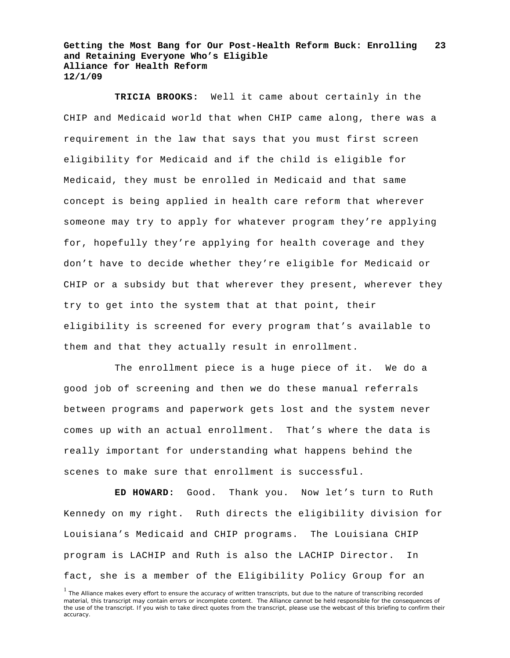**TRICIA BROOKS:** Well it came about certainly in the CHIP and Medicaid world that when CHIP came along, there was a requirement in the law that says that you must first screen eligibility for Medicaid and if the child is eligible for Medicaid, they must be enrolled in Medicaid and that same concept is being applied in health care reform that wherever someone may try to apply for whatever program they're applying for, hopefully they're applying for health coverage and they don't have to decide whether they're eligible for Medicaid or CHIP or a subsidy but that wherever they present, wherever they try to get into the system that at that point, their eligibility is screened for every program that's available to them and that they actually result in enrollment.

The enrollment piece is a huge piece of it. We do a good job of screening and then we do these manual referrals between programs and paperwork gets lost and the system never comes up with an actual enrollment. That's where the data is really important for understanding what happens behind the scenes to make sure that enrollment is successful.

**ED HOWARD:** Good. Thank you. Now let's turn to Ruth Kennedy on my right. Ruth directs the eligibility division for Louisiana's Medicaid and CHIP programs. The Louisiana CHIP program is LACHIP and Ruth is also the LACHIP Director. In fact, she is a member of the Eligibility Policy Group for an

<sup>&</sup>lt;sup>1</sup> The Alliance makes every effort to ensure the accuracy of written transcripts, but due to the nature of transcribing recorded material, this transcript may contain errors or incomplete content. The Alliance cannot be held responsible for the consequences of the use of the transcript. If you wish to take direct quotes from the transcript, please use the webcast of this briefing to confirm their accuracy.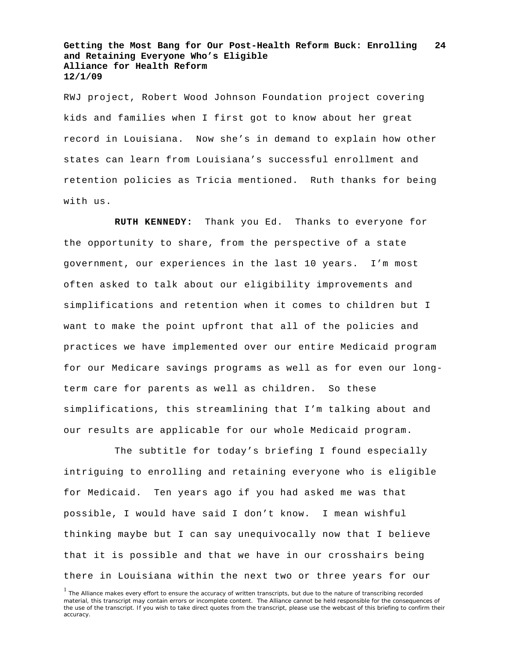RWJ project, Robert Wood Johnson Foundation project covering kids and families when I first got to know about her great record in Louisiana. Now she's in demand to explain how other states can learn from Louisiana's successful enrollment and retention policies as Tricia mentioned. Ruth thanks for being with us.

**RUTH KENNEDY:** Thank you Ed. Thanks to everyone for the opportunity to share, from the perspective of a state government, our experiences in the last 10 years. I'm most often asked to talk about our eligibility improvements and simplifications and retention when it comes to children but I want to make the point upfront that all of the policies and practices we have implemented over our entire Medicaid program for our Medicare savings programs as well as for even our longterm care for parents as well as children. So these simplifications, this streamlining that I'm talking about and our results are applicable for our whole Medicaid program.

The subtitle for today's briefing I found especially intriguing to enrolling and retaining everyone who is eligible for Medicaid. Ten years ago if you had asked me was that possible, I would have said I don't know. I mean wishful thinking maybe but I can say unequivocally now that I believe that it is possible and that we have in our crosshairs being there in Louisiana within the next two or three years for our

<sup>&</sup>lt;sup>1</sup> The Alliance makes every effort to ensure the accuracy of written transcripts, but due to the nature of transcribing recorded material, this transcript may contain errors or incomplete content. The Alliance cannot be held responsible for the consequences of the use of the transcript. If you wish to take direct quotes from the transcript, please use the webcast of this briefing to confirm their accuracy.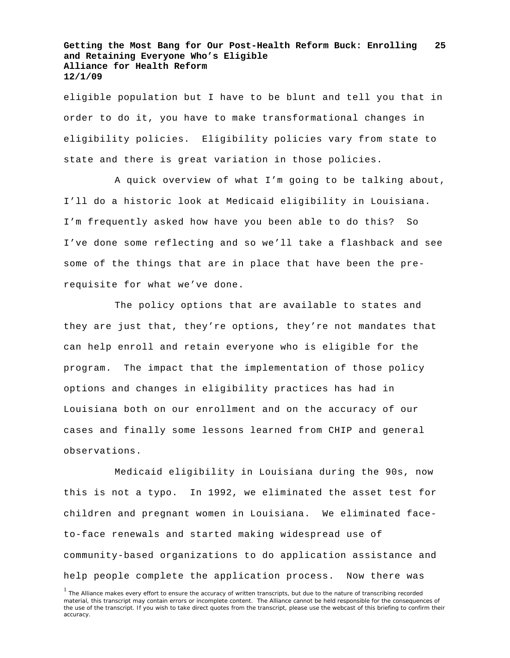eligible population but I have to be blunt and tell you that in order to do it, you have to make transformational changes in eligibility policies. Eligibility policies vary from state to state and there is great variation in those policies.

A quick overview of what I'm going to be talking about, I'll do a historic look at Medicaid eligibility in Louisiana. I'm frequently asked how have you been able to do this? So I've done some reflecting and so we'll take a flashback and see some of the things that are in place that have been the prerequisite for what we've done.

The policy options that are available to states and they are just that, they're options, they're not mandates that can help enroll and retain everyone who is eligible for the program. The impact that the implementation of those policy options and changes in eligibility practices has had in Louisiana both on our enrollment and on the accuracy of our cases and finally some lessons learned from CHIP and general observations.

Medicaid eligibility in Louisiana during the 90s, now this is not a typo. In 1992, we eliminated the asset test for children and pregnant women in Louisiana. We eliminated faceto-face renewals and started making widespread use of community-based organizations to do application assistance and help people complete the application process. Now there was

<sup>&</sup>lt;sup>1</sup> The Alliance makes every effort to ensure the accuracy of written transcripts, but due to the nature of transcribing recorded material, this transcript may contain errors or incomplete content. The Alliance cannot be held responsible for the consequences of the use of the transcript. If you wish to take direct quotes from the transcript, please use the webcast of this briefing to confirm their accuracy.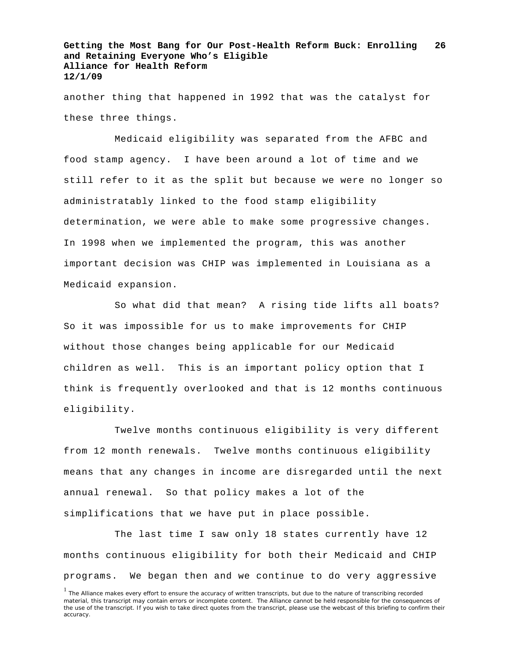another thing that happened in 1992 that was the catalyst for these three things.

Medicaid eligibility was separated from the AFBC and food stamp agency. I have been around a lot of time and we still refer to it as the split but because we were no longer so administratably linked to the food stamp eligibility determination, we were able to make some progressive changes. In 1998 when we implemented the program, this was another important decision was CHIP was implemented in Louisiana as a Medicaid expansion.

So what did that mean? A rising tide lifts all boats? So it was impossible for us to make improvements for CHIP without those changes being applicable for our Medicaid children as well. This is an important policy option that I think is frequently overlooked and that is 12 months continuous eligibility.

Twelve months continuous eligibility is very different from 12 month renewals. Twelve months continuous eligibility means that any changes in income are disregarded until the next annual renewal. So that policy makes a lot of the simplifications that we have put in place possible.

The last time I saw only 18 states currently have 12 months continuous eligibility for both their Medicaid and CHIP programs. We began then and we continue to do very aggressive

<sup>&</sup>lt;sup>1</sup> The Alliance makes every effort to ensure the accuracy of written transcripts, but due to the nature of transcribing recorded material, this transcript may contain errors or incomplete content. The Alliance cannot be held responsible for the consequences of the use of the transcript. If you wish to take direct quotes from the transcript, please use the webcast of this briefing to confirm their accuracy.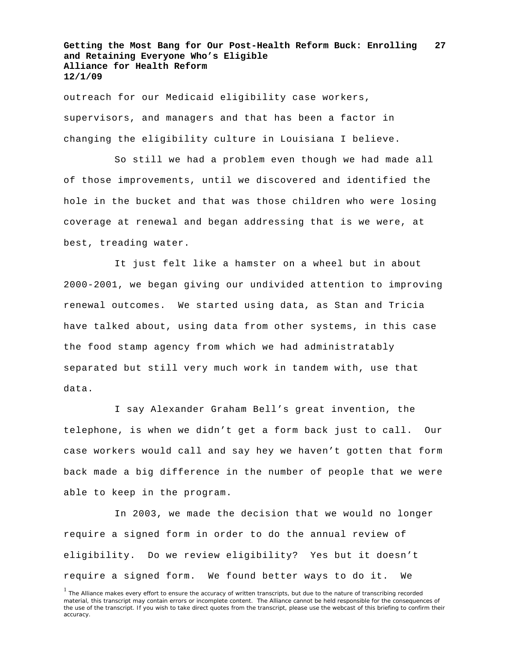outreach for our Medicaid eligibility case workers, supervisors, and managers and that has been a factor in changing the eligibility culture in Louisiana I believe.

So still we had a problem even though we had made all of those improvements, until we discovered and identified the hole in the bucket and that was those children who were losing coverage at renewal and began addressing that is we were, at best, treading water.

It just felt like a hamster on a wheel but in about 2000-2001, we began giving our undivided attention to improving renewal outcomes. We started using data, as Stan and Tricia have talked about, using data from other systems, in this case the food stamp agency from which we had administratably separated but still very much work in tandem with, use that data.

I say Alexander Graham Bell's great invention, the telephone, is when we didn't get a form back just to call. Our case workers would call and say hey we haven't gotten that form back made a big difference in the number of people that we were able to keep in the program.

In 2003, we made the decision that we would no longer require a signed form in order to do the annual review of eligibility. Do we review eligibility? Yes but it doesn't require a signed form. We found better ways to do it. We

<sup>&</sup>lt;sup>1</sup> The Alliance makes every effort to ensure the accuracy of written transcripts, but due to the nature of transcribing recorded material, this transcript may contain errors or incomplete content. The Alliance cannot be held responsible for the consequences of the use of the transcript. If you wish to take direct quotes from the transcript, please use the webcast of this briefing to confirm their accuracy.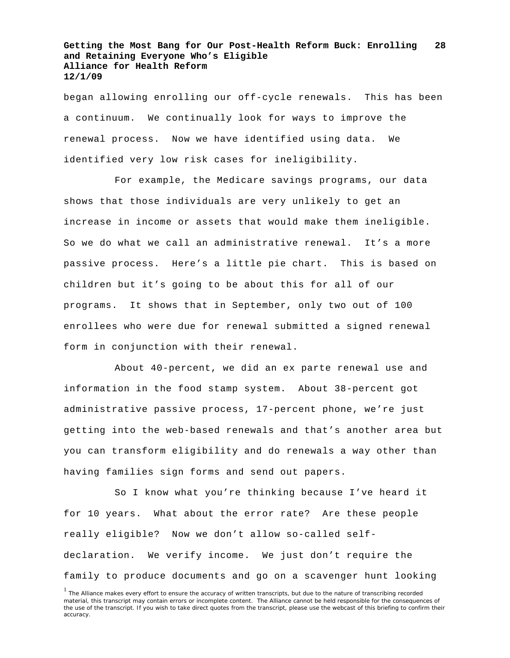began allowing enrolling our off-cycle renewals. This has been a continuum. We continually look for ways to improve the renewal process. Now we have identified using data. We identified very low risk cases for ineligibility.

For example, the Medicare savings programs, our data shows that those individuals are very unlikely to get an increase in income or assets that would make them ineligible. So we do what we call an administrative renewal. It's a more passive process. Here's a little pie chart. This is based on children but it's going to be about this for all of our programs. It shows that in September, only two out of 100 enrollees who were due for renewal submitted a signed renewal form in conjunction with their renewal.

About 40-percent, we did an ex parte renewal use and information in the food stamp system. About 38-percent got administrative passive process, 17-percent phone, we're just getting into the web-based renewals and that's another area but you can transform eligibility and do renewals a way other than having families sign forms and send out papers.

So I know what you're thinking because I've heard it for 10 years. What about the error rate? Are these people really eligible? Now we don't allow so-called selfdeclaration. We verify income. We just don't require the family to produce documents and go on a scavenger hunt looking

<sup>&</sup>lt;sup>1</sup> The Alliance makes every effort to ensure the accuracy of written transcripts, but due to the nature of transcribing recorded material, this transcript may contain errors or incomplete content. The Alliance cannot be held responsible for the consequences of the use of the transcript. If you wish to take direct quotes from the transcript, please use the webcast of this briefing to confirm their accuracy.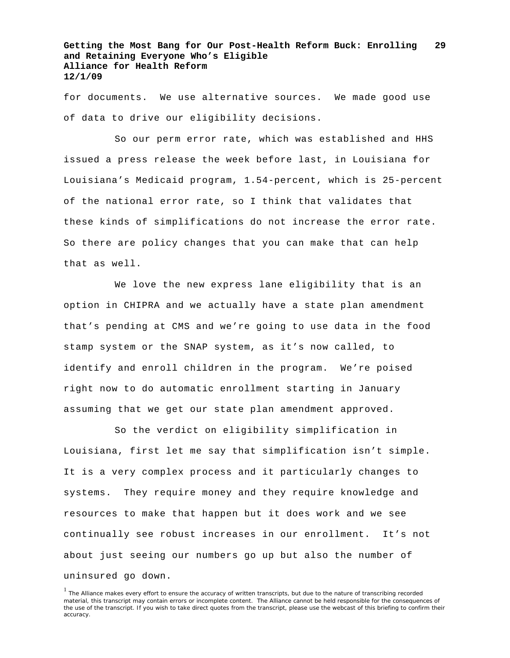for documents. We use alternative sources. We made good use of data to drive our eligibility decisions.

So our perm error rate, which was established and HHS issued a press release the week before last, in Louisiana for Louisiana's Medicaid program, 1.54-percent, which is 25-percent of the national error rate, so I think that validates that these kinds of simplifications do not increase the error rate. So there are policy changes that you can make that can help that as well.

We love the new express lane eligibility that is an option in CHIPRA and we actually have a state plan amendment that's pending at CMS and we're going to use data in the food stamp system or the SNAP system, as it's now called, to identify and enroll children in the program. We're poised right now to do automatic enrollment starting in January assuming that we get our state plan amendment approved.

So the verdict on eligibility simplification in Louisiana, first let me say that simplification isn't simple. It is a very complex process and it particularly changes to systems. They require money and they require knowledge and resources to make that happen but it does work and we see continually see robust increases in our enrollment. It's not about just seeing our numbers go up but also the number of uninsured go down.

<sup>1</sup> The Alliance makes every effort to ensure the accuracy of written transcripts, but due to the nature of transcribing recorded material, this transcript may contain errors or incomplete content. The Alliance cannot be held responsible for the consequences of the use of the transcript. If you wish to take direct quotes from the transcript, please use the webcast of this briefing to confirm their accuracy.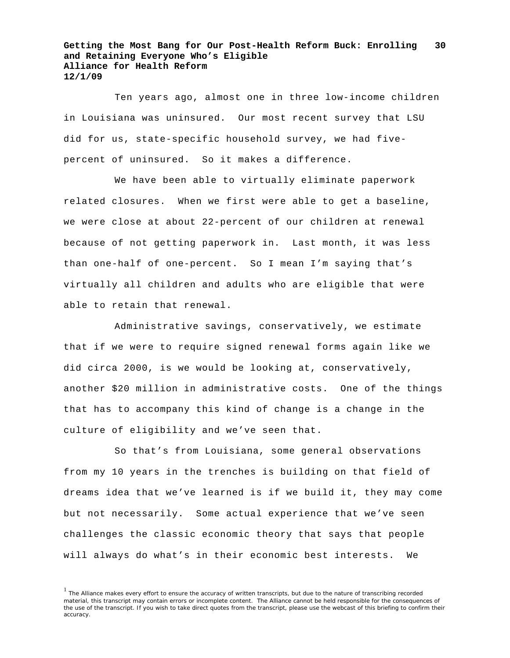Ten years ago, almost one in three low-income children in Louisiana was uninsured. Our most recent survey that LSU did for us, state-specific household survey, we had fivepercent of uninsured. So it makes a difference.

We have been able to virtually eliminate paperwork related closures. When we first were able to get a baseline, we were close at about 22-percent of our children at renewal because of not getting paperwork in. Last month, it was less than one-half of one-percent. So I mean I'm saying that's virtually all children and adults who are eligible that were able to retain that renewal.

Administrative savings, conservatively, we estimate that if we were to require signed renewal forms again like we did circa 2000, is we would be looking at, conservatively, another \$20 million in administrative costs. One of the things that has to accompany this kind of change is a change in the culture of eligibility and we've seen that.

So that's from Louisiana, some general observations from my 10 years in the trenches is building on that field of dreams idea that we've learned is if we build it, they may come but not necessarily. Some actual experience that we've seen challenges the classic economic theory that says that people will always do what's in their economic best interests. We

<sup>&</sup>lt;sup>1</sup> The Alliance makes every effort to ensure the accuracy of written transcripts, but due to the nature of transcribing recorded material, this transcript may contain errors or incomplete content. The Alliance cannot be held responsible for the consequences of the use of the transcript. If you wish to take direct quotes from the transcript, please use the webcast of this briefing to confirm their accuracy.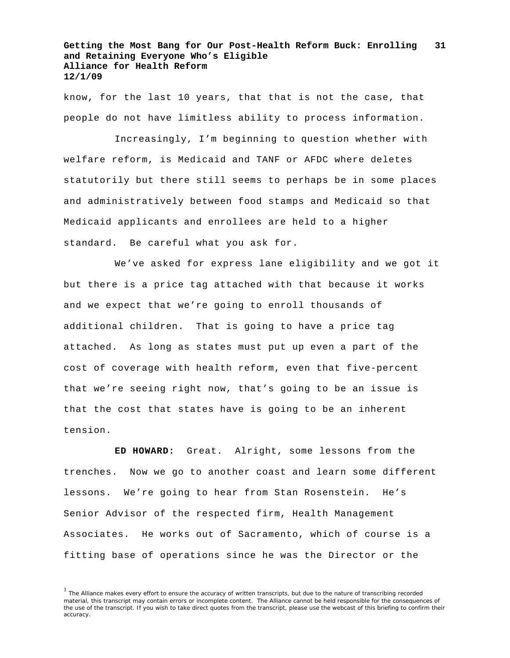know, for the last 10 years, that that is not the case, that people do not have limitless ability to process information.

Increasingly, I'm beginning to question whether with welfare reform, is Medicaid and TANF or AFDC where deletes statutorily but there still seems to perhaps be in some places and administratively between food stamps and Medicaid so that Medicaid applicants and enrollees are held to a higher standard. Be careful what you ask for.

We've asked for express lane eligibility and we got it but there is a price tag attached with that because it works and we expect that we're going to enroll thousands of additional children. That is going to have a price tag attached. As long as states must put up even a part of the cost of coverage with health reform, even that five-percent that we're seeing right now, that's going to be an issue is that the cost that states have is going to be an inherent tension.

**ED HOWARD:** Great. Alright, some lessons from the trenches. Now we go to another coast and learn some different lessons. We're going to hear from Stan Rosenstein. He's Senior Advisor of the respected firm, Health Management Associates. He works out of Sacramento, which of course is a fitting base of operations since he was the Director or the

<sup>&</sup>lt;sup>1</sup> The Alliance makes every effort to ensure the accuracy of written transcripts, but due to the nature of transcribing recorded material, this transcript may contain errors or incomplete content. The Alliance cannot be held responsible for the consequences of the use of the transcript. If you wish to take direct quotes from the transcript, please use the webcast of this briefing to confirm their accuracy.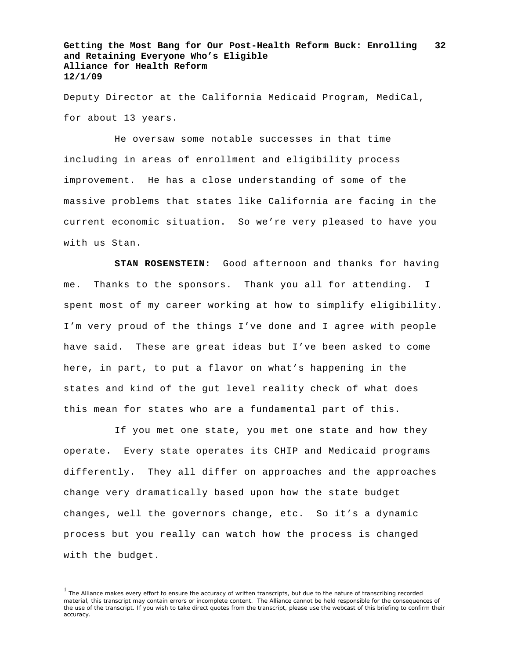Deputy Director at the California Medicaid Program, MediCal, for about 13 years.

He oversaw some notable successes in that time including in areas of enrollment and eligibility process improvement. He has a close understanding of some of the massive problems that states like California are facing in the current economic situation. So we're very pleased to have you with us Stan.

**STAN ROSENSTEIN:** Good afternoon and thanks for having me. Thanks to the sponsors. Thank you all for attending. I spent most of my career working at how to simplify eligibility. I'm very proud of the things I've done and I agree with people have said. These are great ideas but I've been asked to come here, in part, to put a flavor on what's happening in the states and kind of the gut level reality check of what does this mean for states who are a fundamental part of this.

If you met one state, you met one state and how they operate. Every state operates its CHIP and Medicaid programs differently. They all differ on approaches and the approaches change very dramatically based upon how the state budget changes, well the governors change, etc. So it's a dynamic process but you really can watch how the process is changed with the budget.

 $<sup>1</sup>$  The Alliance makes every effort to ensure the accuracy of written transcripts, but due to the nature of transcribing recorded</sup> material, this transcript may contain errors or incomplete content. The Alliance cannot be held responsible for the consequences of the use of the transcript. If you wish to take direct quotes from the transcript, please use the webcast of this briefing to confirm their accuracy.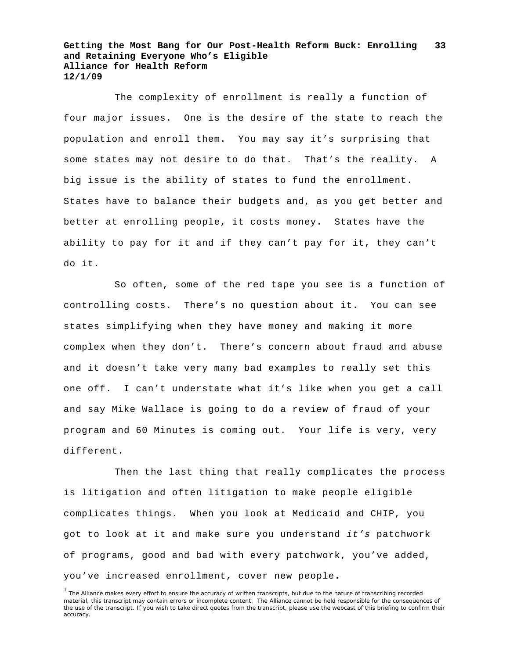The complexity of enrollment is really a function of four major issues. One is the desire of the state to reach the population and enroll them. You may say it's surprising that some states may not desire to do that. That's the reality. A big issue is the ability of states to fund the enrollment. States have to balance their budgets and, as you get better and better at enrolling people, it costs money. States have the ability to pay for it and if they can't pay for it, they can't do it.

So often, some of the red tape you see is a function of controlling costs. There's no question about it. You can see states simplifying when they have money and making it more complex when they don't. There's concern about fraud and abuse and it doesn't take very many bad examples to really set this one off. I can't understate what it's like when you get a call and say Mike Wallace is going to do a review of fraud of your program and 60 Minutes is coming out. Your life is very, very different.

Then the last thing that really complicates the process is litigation and often litigation to make people eligible complicates things. When you look at Medicaid and CHIP, you got to look at it and make sure you understand *it's* patchwork of programs, good and bad with every patchwork, you've added, you've increased enrollment, cover new people.

<sup>&</sup>lt;sup>1</sup> The Alliance makes every effort to ensure the accuracy of written transcripts, but due to the nature of transcribing recorded material, this transcript may contain errors or incomplete content. The Alliance cannot be held responsible for the consequences of the use of the transcript. If you wish to take direct quotes from the transcript, please use the webcast of this briefing to confirm their accuracy.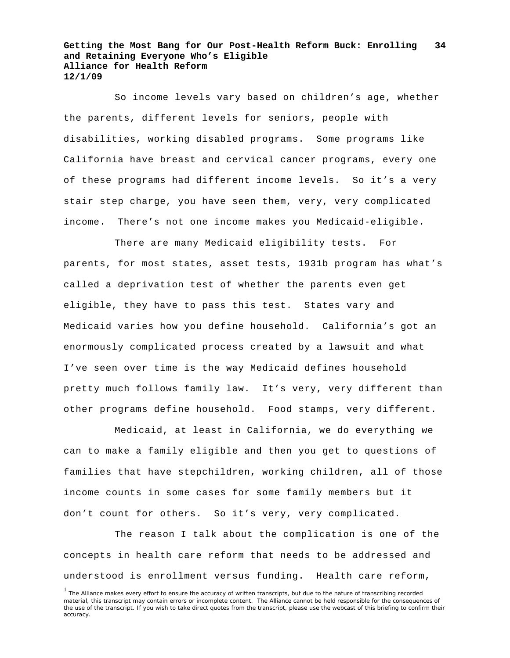So income levels vary based on children's age, whether the parents, different levels for seniors, people with disabilities, working disabled programs. Some programs like California have breast and cervical cancer programs, every one of these programs had different income levels. So it's a very stair step charge, you have seen them, very, very complicated income. There's not one income makes you Medicaid-eligible.

There are many Medicaid eligibility tests. For parents, for most states, asset tests, 1931b program has what's called a deprivation test of whether the parents even get eligible, they have to pass this test. States vary and Medicaid varies how you define household. California's got an enormously complicated process created by a lawsuit and what I've seen over time is the way Medicaid defines household pretty much follows family law. It's very, very different than other programs define household. Food stamps, very different.

Medicaid, at least in California, we do everything we can to make a family eligible and then you get to questions of families that have stepchildren, working children, all of those income counts in some cases for some family members but it don't count for others. So it's very, very complicated.

The reason I talk about the complication is one of the concepts in health care reform that needs to be addressed and understood is enrollment versus funding. Health care reform,

<sup>&</sup>lt;sup>1</sup> The Alliance makes every effort to ensure the accuracy of written transcripts, but due to the nature of transcribing recorded material, this transcript may contain errors or incomplete content. The Alliance cannot be held responsible for the consequences of the use of the transcript. If you wish to take direct quotes from the transcript, please use the webcast of this briefing to confirm their accuracy.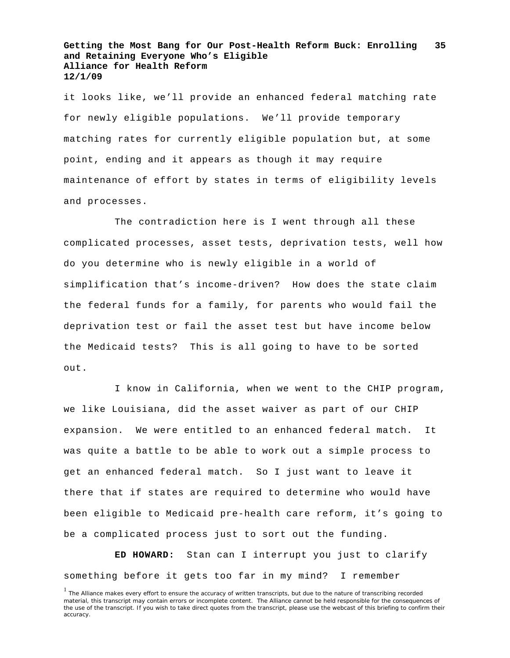it looks like, we'll provide an enhanced federal matching rate for newly eligible populations. We'll provide temporary matching rates for currently eligible population but, at some point, ending and it appears as though it may require maintenance of effort by states in terms of eligibility levels and processes.

The contradiction here is I went through all these complicated processes, asset tests, deprivation tests, well how do you determine who is newly eligible in a world of simplification that's income-driven? How does the state claim the federal funds for a family, for parents who would fail the deprivation test or fail the asset test but have income below the Medicaid tests? This is all going to have to be sorted out.

I know in California, when we went to the CHIP program, we like Louisiana, did the asset waiver as part of our CHIP expansion. We were entitled to an enhanced federal match. It was quite a battle to be able to work out a simple process to get an enhanced federal match. So I just want to leave it there that if states are required to determine who would have been eligible to Medicaid pre-health care reform, it's going to be a complicated process just to sort out the funding.

**ED HOWARD:** Stan can I interrupt you just to clarify something before it gets too far in my mind? I remember

<sup>&</sup>lt;sup>1</sup> The Alliance makes every effort to ensure the accuracy of written transcripts, but due to the nature of transcribing recorded material, this transcript may contain errors or incomplete content. The Alliance cannot be held responsible for the consequences of the use of the transcript. If you wish to take direct quotes from the transcript, please use the webcast of this briefing to confirm their accuracy.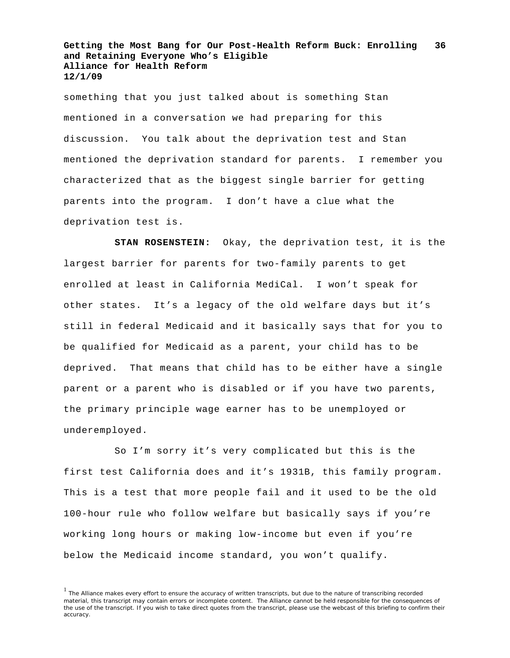something that you just talked about is something Stan mentioned in a conversation we had preparing for this discussion. You talk about the deprivation test and Stan mentioned the deprivation standard for parents. I remember you characterized that as the biggest single barrier for getting parents into the program. I don't have a clue what the deprivation test is.

**STAN ROSENSTEIN:** Okay, the deprivation test, it is the largest barrier for parents for two-family parents to get enrolled at least in California MediCal. I won't speak for other states. It's a legacy of the old welfare days but it's still in federal Medicaid and it basically says that for you to be qualified for Medicaid as a parent, your child has to be deprived. That means that child has to be either have a single parent or a parent who is disabled or if you have two parents, the primary principle wage earner has to be unemployed or underemployed.

So I'm sorry it's very complicated but this is the first test California does and it's 1931B, this family program. This is a test that more people fail and it used to be the old 100-hour rule who follow welfare but basically says if you're working long hours or making low-income but even if you're below the Medicaid income standard, you won't qualify.

<sup>&</sup>lt;sup>1</sup> The Alliance makes every effort to ensure the accuracy of written transcripts, but due to the nature of transcribing recorded material, this transcript may contain errors or incomplete content. The Alliance cannot be held responsible for the consequences of the use of the transcript. If you wish to take direct quotes from the transcript, please use the webcast of this briefing to confirm their accuracy.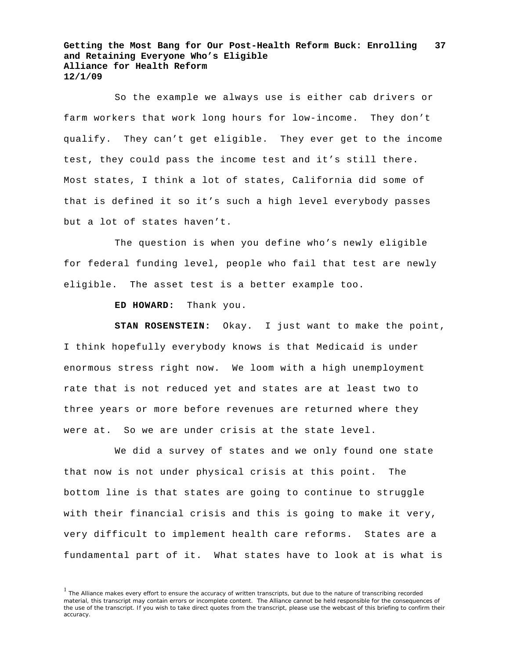So the example we always use is either cab drivers or farm workers that work long hours for low-income. They don't qualify. They can't get eligible. They ever get to the income test, they could pass the income test and it's still there. Most states, I think a lot of states, California did some of that is defined it so it's such a high level everybody passes but a lot of states haven't.

The question is when you define who's newly eligible for federal funding level, people who fail that test are newly eligible. The asset test is a better example too.

**ED HOWARD:** Thank you.

**STAN ROSENSTEIN:** Okay. I just want to make the point, I think hopefully everybody knows is that Medicaid is under enormous stress right now. We loom with a high unemployment rate that is not reduced yet and states are at least two to three years or more before revenues are returned where they were at. So we are under crisis at the state level.

We did a survey of states and we only found one state that now is not under physical crisis at this point. The bottom line is that states are going to continue to struggle with their financial crisis and this is going to make it very, very difficult to implement health care reforms. States are a fundamental part of it. What states have to look at is what is

<sup>&</sup>lt;sup>1</sup> The Alliance makes every effort to ensure the accuracy of written transcripts, but due to the nature of transcribing recorded material, this transcript may contain errors or incomplete content. The Alliance cannot be held responsible for the consequences of the use of the transcript. If you wish to take direct quotes from the transcript, please use the webcast of this briefing to confirm their accuracy.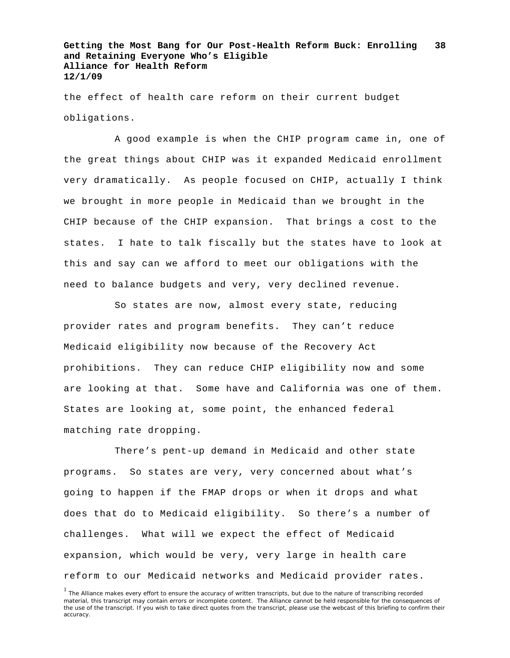the effect of health care reform on their current budget obligations.

A good example is when the CHIP program came in, one of the great things about CHIP was it expanded Medicaid enrollment very dramatically. As people focused on CHIP, actually I think we brought in more people in Medicaid than we brought in the CHIP because of the CHIP expansion. That brings a cost to the states. I hate to talk fiscally but the states have to look at this and say can we afford to meet our obligations with the need to balance budgets and very, very declined revenue.

So states are now, almost every state, reducing provider rates and program benefits. They can't reduce Medicaid eligibility now because of the Recovery Act prohibitions. They can reduce CHIP eligibility now and some are looking at that. Some have and California was one of them. States are looking at, some point, the enhanced federal matching rate dropping.

There's pent-up demand in Medicaid and other state programs. So states are very, very concerned about what's going to happen if the FMAP drops or when it drops and what does that do to Medicaid eligibility. So there's a number of challenges. What will we expect the effect of Medicaid expansion, which would be very, very large in health care reform to our Medicaid networks and Medicaid provider rates.

<sup>&</sup>lt;sup>1</sup> The Alliance makes every effort to ensure the accuracy of written transcripts, but due to the nature of transcribing recorded material, this transcript may contain errors or incomplete content. The Alliance cannot be held responsible for the consequences of the use of the transcript. If you wish to take direct quotes from the transcript, please use the webcast of this briefing to confirm their accuracy.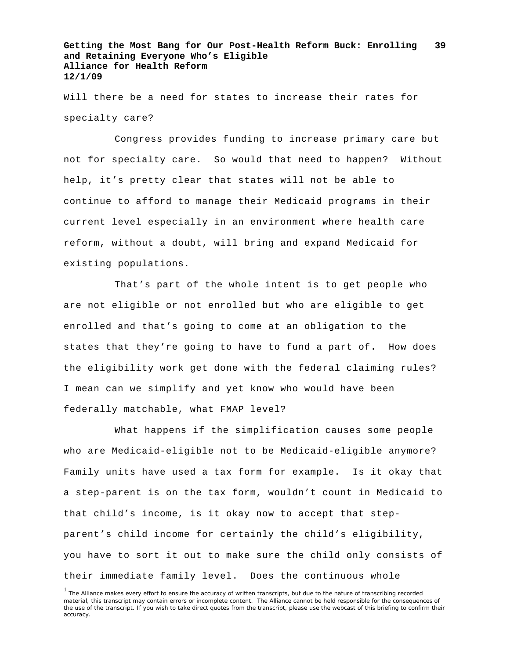Will there be a need for states to increase their rates for specialty care?

Congress provides funding to increase primary care but not for specialty care. So would that need to happen? Without help, it's pretty clear that states will not be able to continue to afford to manage their Medicaid programs in their current level especially in an environment where health care reform, without a doubt, will bring and expand Medicaid for existing populations.

That's part of the whole intent is to get people who are not eligible or not enrolled but who are eligible to get enrolled and that's going to come at an obligation to the states that they're going to have to fund a part of. How does the eligibility work get done with the federal claiming rules? I mean can we simplify and yet know who would have been federally matchable, what FMAP level?

What happens if the simplification causes some people who are Medicaid-eligible not to be Medicaid-eligible anymore? Family units have used a tax form for example. Is it okay that a step-parent is on the tax form, wouldn't count in Medicaid to that child's income, is it okay now to accept that stepparent's child income for certainly the child's eligibility, you have to sort it out to make sure the child only consists of their immediate family level. Does the continuous whole

<sup>&</sup>lt;sup>1</sup> The Alliance makes every effort to ensure the accuracy of written transcripts, but due to the nature of transcribing recorded material, this transcript may contain errors or incomplete content. The Alliance cannot be held responsible for the consequences of the use of the transcript. If you wish to take direct quotes from the transcript, please use the webcast of this briefing to confirm their accuracy.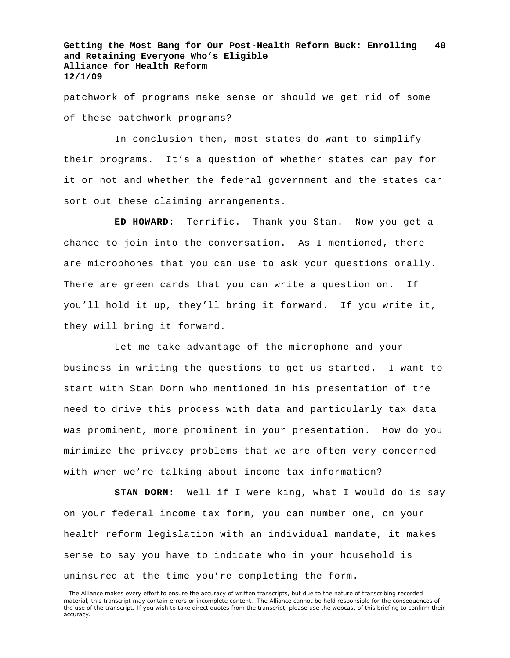patchwork of programs make sense or should we get rid of some of these patchwork programs?

In conclusion then, most states do want to simplify their programs. It's a question of whether states can pay for it or not and whether the federal government and the states can sort out these claiming arrangements.

**ED HOWARD:** Terrific. Thank you Stan. Now you get a chance to join into the conversation. As I mentioned, there are microphones that you can use to ask your questions orally. There are green cards that you can write a question on. If you'll hold it up, they'll bring it forward. If you write it, they will bring it forward.

Let me take advantage of the microphone and your business in writing the questions to get us started. I want to start with Stan Dorn who mentioned in his presentation of the need to drive this process with data and particularly tax data was prominent, more prominent in your presentation. How do you minimize the privacy problems that we are often very concerned with when we're talking about income tax information?

**STAN DORN:** Well if I were king, what I would do is say on your federal income tax form, you can number one, on your health reform legislation with an individual mandate, it makes sense to say you have to indicate who in your household is uninsured at the time you're completing the form.

<sup>&</sup>lt;sup>1</sup> The Alliance makes every effort to ensure the accuracy of written transcripts, but due to the nature of transcribing recorded material, this transcript may contain errors or incomplete content. The Alliance cannot be held responsible for the consequences of the use of the transcript. If you wish to take direct quotes from the transcript, please use the webcast of this briefing to confirm their accuracy.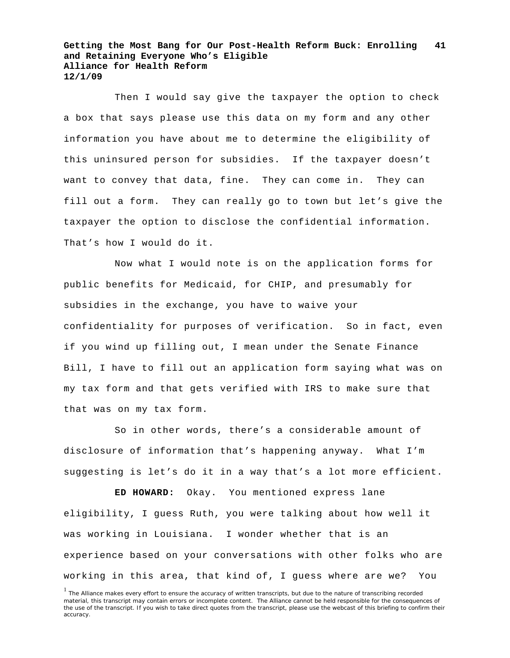Then I would say give the taxpayer the option to check a box that says please use this data on my form and any other information you have about me to determine the eligibility of this uninsured person for subsidies. If the taxpayer doesn't want to convey that data, fine. They can come in. They can fill out a form. They can really go to town but let's give the taxpayer the option to disclose the confidential information. That's how I would do it.

Now what I would note is on the application forms for public benefits for Medicaid, for CHIP, and presumably for subsidies in the exchange, you have to waive your confidentiality for purposes of verification. So in fact, even if you wind up filling out, I mean under the Senate Finance Bill, I have to fill out an application form saying what was on my tax form and that gets verified with IRS to make sure that that was on my tax form.

So in other words, there's a considerable amount of disclosure of information that's happening anyway. What I'm suggesting is let's do it in a way that's a lot more efficient.

**ED HOWARD:** Okay. You mentioned express lane eligibility, I guess Ruth, you were talking about how well it was working in Louisiana. I wonder whether that is an experience based on your conversations with other folks who are working in this area, that kind of, I guess where are we? You

<sup>&</sup>lt;sup>1</sup> The Alliance makes every effort to ensure the accuracy of written transcripts, but due to the nature of transcribing recorded material, this transcript may contain errors or incomplete content. The Alliance cannot be held responsible for the consequences of the use of the transcript. If you wish to take direct quotes from the transcript, please use the webcast of this briefing to confirm their accuracy.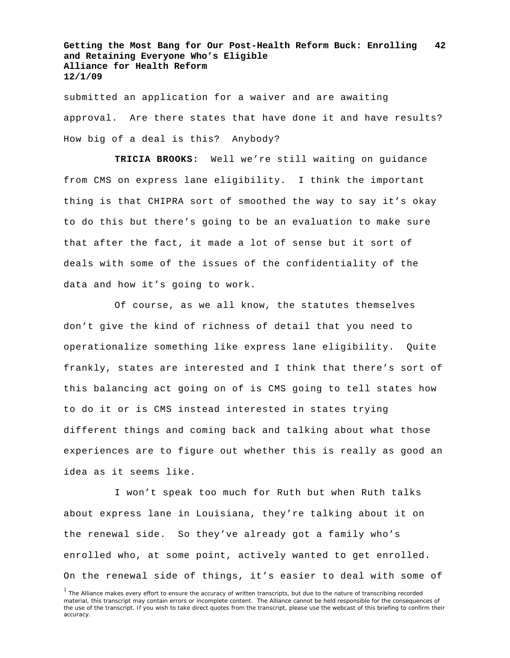submitted an application for a waiver and are awaiting approval. Are there states that have done it and have results? How big of a deal is this? Anybody?

**TRICIA BROOKS:** Well we're still waiting on guidance from CMS on express lane eligibility. I think the important thing is that CHIPRA sort of smoothed the way to say it's okay to do this but there's going to be an evaluation to make sure that after the fact, it made a lot of sense but it sort of deals with some of the issues of the confidentiality of the data and how it's going to work.

Of course, as we all know, the statutes themselves don't give the kind of richness of detail that you need to operationalize something like express lane eligibility. Quite frankly, states are interested and I think that there's sort of this balancing act going on of is CMS going to tell states how to do it or is CMS instead interested in states trying different things and coming back and talking about what those experiences are to figure out whether this is really as good an idea as it seems like.

I won't speak too much for Ruth but when Ruth talks about express lane in Louisiana, they're talking about it on the renewal side. So they've already got a family who's enrolled who, at some point, actively wanted to get enrolled. On the renewal side of things, it's easier to deal with some of

<sup>&</sup>lt;sup>1</sup> The Alliance makes every effort to ensure the accuracy of written transcripts, but due to the nature of transcribing recorded material, this transcript may contain errors or incomplete content. The Alliance cannot be held responsible for the consequences of the use of the transcript. If you wish to take direct quotes from the transcript, please use the webcast of this briefing to confirm their accuracy.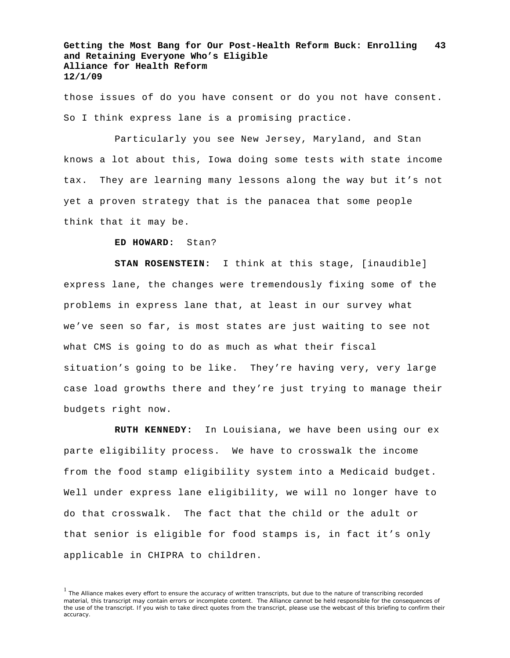those issues of do you have consent or do you not have consent. So I think express lane is a promising practice.

Particularly you see New Jersey, Maryland, and Stan knows a lot about this, Iowa doing some tests with state income tax. They are learning many lessons along the way but it's not yet a proven strategy that is the panacea that some people think that it may be.

**ED HOWARD:** Stan?

**STAN ROSENSTEIN:** I think at this stage, [inaudible] express lane, the changes were tremendously fixing some of the problems in express lane that, at least in our survey what we've seen so far, is most states are just waiting to see not what CMS is going to do as much as what their fiscal situation's going to be like. They're having very, very large case load growths there and they're just trying to manage their budgets right now.

**RUTH KENNEDY:** In Louisiana, we have been using our ex parte eligibility process. We have to crosswalk the income from the food stamp eligibility system into a Medicaid budget. Well under express lane eligibility, we will no longer have to do that crosswalk. The fact that the child or the adult or that senior is eligible for food stamps is, in fact it's only applicable in CHIPRA to children.

<sup>&</sup>lt;sup>1</sup> The Alliance makes every effort to ensure the accuracy of written transcripts, but due to the nature of transcribing recorded material, this transcript may contain errors or incomplete content. The Alliance cannot be held responsible for the consequences of the use of the transcript. If you wish to take direct quotes from the transcript, please use the webcast of this briefing to confirm their accuracy.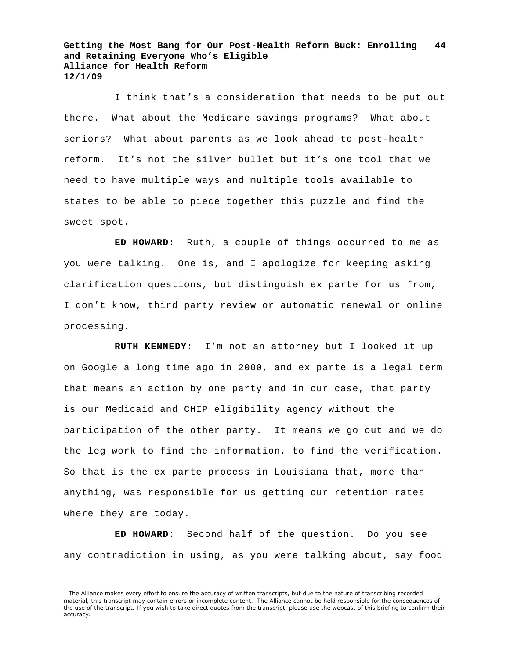I think that's a consideration that needs to be put out there. What about the Medicare savings programs? What about seniors? What about parents as we look ahead to post-health reform. It's not the silver bullet but it's one tool that we need to have multiple ways and multiple tools available to states to be able to piece together this puzzle and find the sweet spot.

**ED HOWARD:** Ruth, a couple of things occurred to me as you were talking. One is, and I apologize for keeping asking clarification questions, but distinguish ex parte for us from, I don't know, third party review or automatic renewal or online processing.

**RUTH KENNEDY:** I'm not an attorney but I looked it up on Google a long time ago in 2000, and ex parte is a legal term that means an action by one party and in our case, that party is our Medicaid and CHIP eligibility agency without the participation of the other party. It means we go out and we do the leg work to find the information, to find the verification. So that is the ex parte process in Louisiana that, more than anything, was responsible for us getting our retention rates where they are today.

**ED HOWARD:** Second half of the question. Do you see any contradiction in using, as you were talking about, say food

<sup>&</sup>lt;sup>1</sup> The Alliance makes every effort to ensure the accuracy of written transcripts, but due to the nature of transcribing recorded material, this transcript may contain errors or incomplete content. The Alliance cannot be held responsible for the consequences of the use of the transcript. If you wish to take direct quotes from the transcript, please use the webcast of this briefing to confirm their accuracy.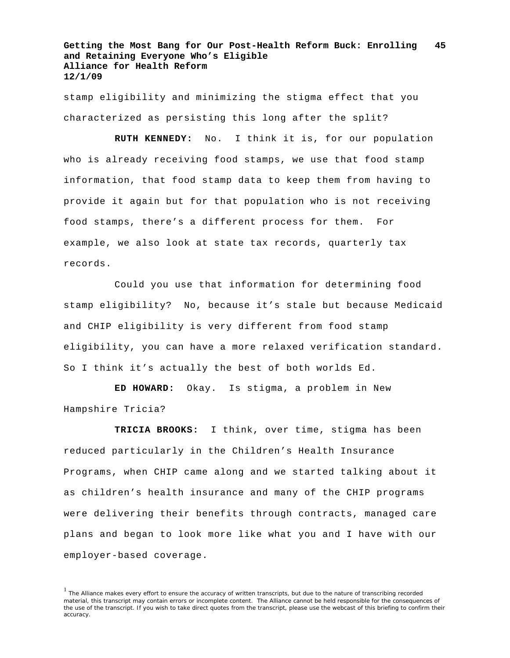stamp eligibility and minimizing the stigma effect that you characterized as persisting this long after the split?

**RUTH KENNEDY:** No. I think it is, for our population who is already receiving food stamps, we use that food stamp information, that food stamp data to keep them from having to provide it again but for that population who is not receiving food stamps, there's a different process for them. For example, we also look at state tax records, quarterly tax records.

Could you use that information for determining food stamp eligibility? No, because it's stale but because Medicaid and CHIP eligibility is very different from food stamp eligibility, you can have a more relaxed verification standard. So I think it's actually the best of both worlds Ed.

**ED HOWARD:** Okay. Is stigma, a problem in New Hampshire Tricia?

**TRICIA BROOKS:** I think, over time, stigma has been reduced particularly in the Children's Health Insurance Programs, when CHIP came along and we started talking about it as children's health insurance and many of the CHIP programs were delivering their benefits through contracts, managed care plans and began to look more like what you and I have with our employer-based coverage.

 $<sup>1</sup>$  The Alliance makes every effort to ensure the accuracy of written transcripts, but due to the nature of transcribing recorded</sup> material, this transcript may contain errors or incomplete content. The Alliance cannot be held responsible for the consequences of the use of the transcript. If you wish to take direct quotes from the transcript, please use the webcast of this briefing to confirm their accuracy.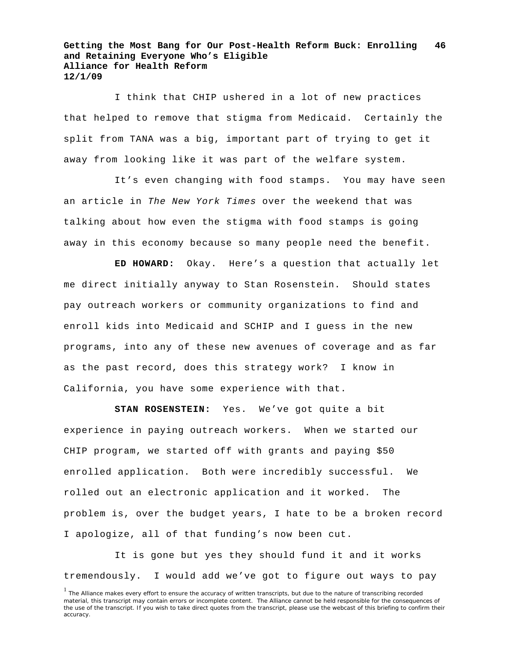I think that CHIP ushered in a lot of new practices that helped to remove that stigma from Medicaid. Certainly the split from TANA was a big, important part of trying to get it away from looking like it was part of the welfare system.

It's even changing with food stamps. You may have seen an article in *The New York Times* over the weekend that was talking about how even the stigma with food stamps is going away in this economy because so many people need the benefit.

**ED HOWARD:** Okay. Here's a question that actually let me direct initially anyway to Stan Rosenstein. Should states pay outreach workers or community organizations to find and enroll kids into Medicaid and SCHIP and I guess in the new programs, into any of these new avenues of coverage and as far as the past record, does this strategy work? I know in California, you have some experience with that.

**STAN ROSENSTEIN:** Yes. We've got quite a bit experience in paying outreach workers. When we started our CHIP program, we started off with grants and paying \$50 enrolled application. Both were incredibly successful. We rolled out an electronic application and it worked. The problem is, over the budget years, I hate to be a broken record I apologize, all of that funding's now been cut.

It is gone but yes they should fund it and it works tremendously. I would add we've got to figure out ways to pay

<sup>&</sup>lt;sup>1</sup> The Alliance makes every effort to ensure the accuracy of written transcripts, but due to the nature of transcribing recorded material, this transcript may contain errors or incomplete content. The Alliance cannot be held responsible for the consequences of the use of the transcript. If you wish to take direct quotes from the transcript, please use the webcast of this briefing to confirm their accuracy.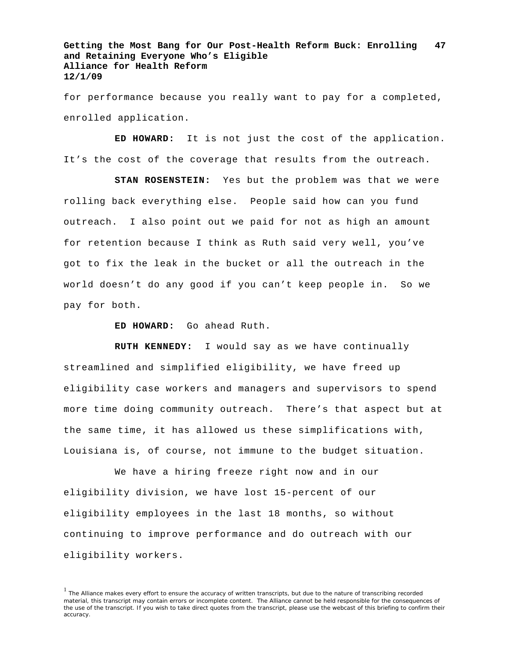for performance because you really want to pay for a completed, enrolled application.

**ED HOWARD:** It is not just the cost of the application. It's the cost of the coverage that results from the outreach.

**STAN ROSENSTEIN:** Yes but the problem was that we were rolling back everything else. People said how can you fund outreach. I also point out we paid for not as high an amount for retention because I think as Ruth said very well, you've got to fix the leak in the bucket or all the outreach in the world doesn't do any good if you can't keep people in. So we pay for both.

**ED HOWARD:** Go ahead Ruth.

**RUTH KENNEDY:** I would say as we have continually streamlined and simplified eligibility, we have freed up eligibility case workers and managers and supervisors to spend more time doing community outreach. There's that aspect but at the same time, it has allowed us these simplifications with, Louisiana is, of course, not immune to the budget situation.

We have a hiring freeze right now and in our eligibility division, we have lost 15-percent of our eligibility employees in the last 18 months, so without continuing to improve performance and do outreach with our eligibility workers.

 $<sup>1</sup>$  The Alliance makes every effort to ensure the accuracy of written transcripts, but due to the nature of transcribing recorded</sup> material, this transcript may contain errors or incomplete content. The Alliance cannot be held responsible for the consequences of the use of the transcript. If you wish to take direct quotes from the transcript, please use the webcast of this briefing to confirm their accuracy.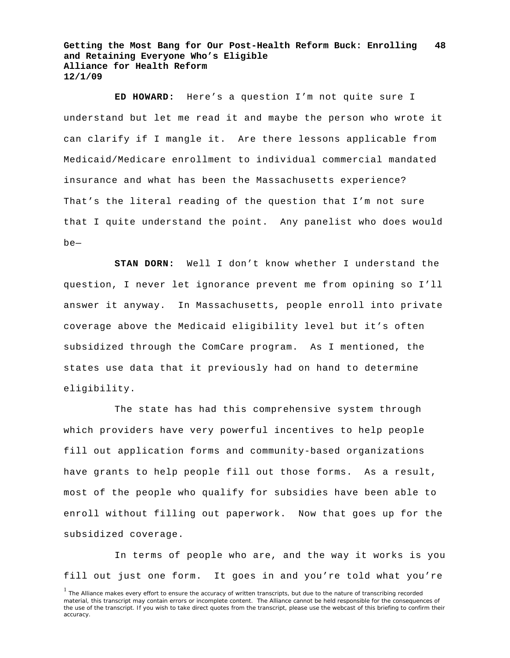**ED HOWARD:** Here's a question I'm not quite sure I understand but let me read it and maybe the person who wrote it can clarify if I mangle it. Are there lessons applicable from Medicaid/Medicare enrollment to individual commercial mandated insurance and what has been the Massachusetts experience? That's the literal reading of the question that I'm not sure that I quite understand the point. Any panelist who does would be—

**STAN DORN:** Well I don't know whether I understand the question, I never let ignorance prevent me from opining so I'll answer it anyway. In Massachusetts, people enroll into private coverage above the Medicaid eligibility level but it's often subsidized through the ComCare program. As I mentioned, the states use data that it previously had on hand to determine eligibility.

The state has had this comprehensive system through which providers have very powerful incentives to help people fill out application forms and community-based organizations have grants to help people fill out those forms. As a result, most of the people who qualify for subsidies have been able to enroll without filling out paperwork. Now that goes up for the subsidized coverage.

In terms of people who are, and the way it works is you fill out just one form. It goes in and you're told what you're

<sup>&</sup>lt;sup>1</sup> The Alliance makes every effort to ensure the accuracy of written transcripts, but due to the nature of transcribing recorded material, this transcript may contain errors or incomplete content. The Alliance cannot be held responsible for the consequences of the use of the transcript. If you wish to take direct quotes from the transcript, please use the webcast of this briefing to confirm their accuracy.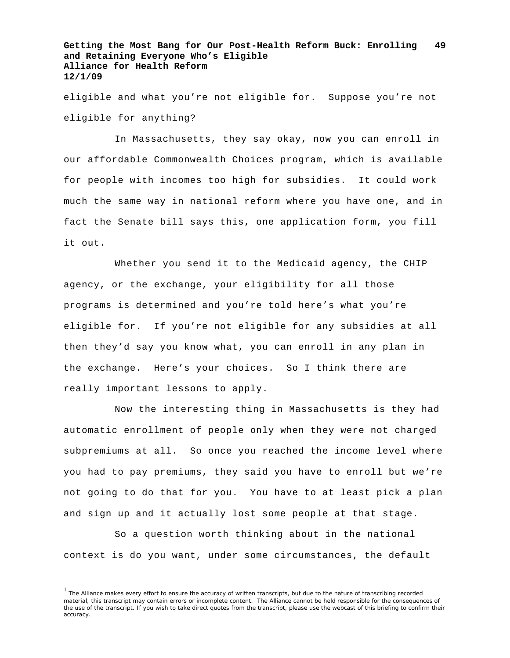eligible and what you're not eligible for. Suppose you're not eligible for anything?

In Massachusetts, they say okay, now you can enroll in our affordable Commonwealth Choices program, which is available for people with incomes too high for subsidies. It could work much the same way in national reform where you have one, and in fact the Senate bill says this, one application form, you fill it out.

Whether you send it to the Medicaid agency, the CHIP agency, or the exchange, your eligibility for all those programs is determined and you're told here's what you're eligible for. If you're not eligible for any subsidies at all then they'd say you know what, you can enroll in any plan in the exchange. Here's your choices. So I think there are really important lessons to apply.

Now the interesting thing in Massachusetts is they had automatic enrollment of people only when they were not charged subpremiums at all. So once you reached the income level where you had to pay premiums, they said you have to enroll but we're not going to do that for you. You have to at least pick a plan and sign up and it actually lost some people at that stage.

So a question worth thinking about in the national context is do you want, under some circumstances, the default

 $<sup>1</sup>$  The Alliance makes every effort to ensure the accuracy of written transcripts, but due to the nature of transcribing recorded</sup> material, this transcript may contain errors or incomplete content. The Alliance cannot be held responsible for the consequences of the use of the transcript. If you wish to take direct quotes from the transcript, please use the webcast of this briefing to confirm their accuracy.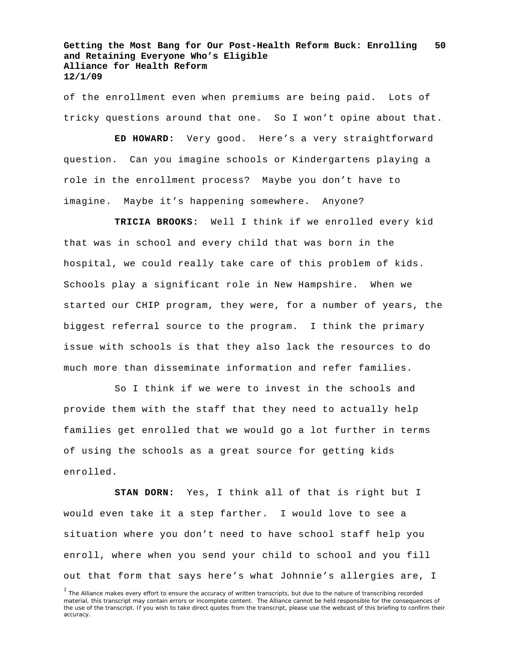of the enrollment even when premiums are being paid. Lots of tricky questions around that one. So I won't opine about that.

**ED HOWARD:** Very good. Here's a very straightforward question. Can you imagine schools or Kindergartens playing a role in the enrollment process? Maybe you don't have to imagine. Maybe it's happening somewhere. Anyone?

**TRICIA BROOKS:** Well I think if we enrolled every kid that was in school and every child that was born in the hospital, we could really take care of this problem of kids. Schools play a significant role in New Hampshire. When we started our CHIP program, they were, for a number of years, the biggest referral source to the program. I think the primary issue with schools is that they also lack the resources to do much more than disseminate information and refer families.

So I think if we were to invest in the schools and provide them with the staff that they need to actually help families get enrolled that we would go a lot further in terms of using the schools as a great source for getting kids enrolled.

**STAN DORN:** Yes, I think all of that is right but I would even take it a step farther. I would love to see a situation where you don't need to have school staff help you enroll, where when you send your child to school and you fill out that form that says here's what Johnnie's allergies are, I

<sup>&</sup>lt;sup>1</sup> The Alliance makes every effort to ensure the accuracy of written transcripts, but due to the nature of transcribing recorded material, this transcript may contain errors or incomplete content. The Alliance cannot be held responsible for the consequences of the use of the transcript. If you wish to take direct quotes from the transcript, please use the webcast of this briefing to confirm their accuracy.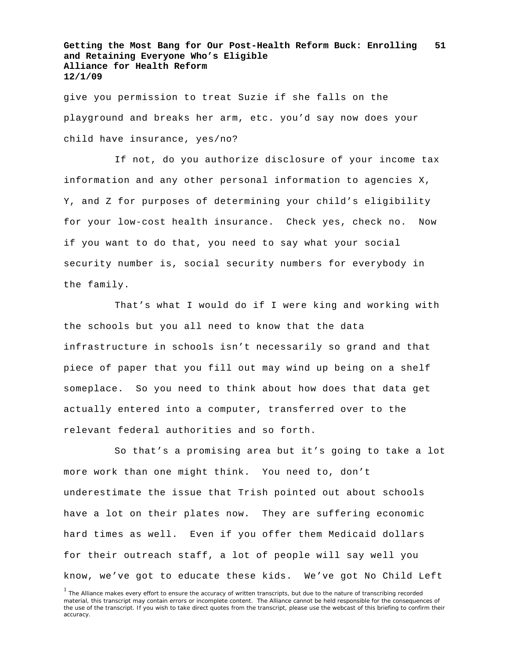give you permission to treat Suzie if she falls on the playground and breaks her arm, etc. you'd say now does your child have insurance, yes/no?

If not, do you authorize disclosure of your income tax information and any other personal information to agencies X, Y, and Z for purposes of determining your child's eligibility for your low-cost health insurance. Check yes, check no. Now if you want to do that, you need to say what your social security number is, social security numbers for everybody in the family.

That's what I would do if I were king and working with the schools but you all need to know that the data infrastructure in schools isn't necessarily so grand and that piece of paper that you fill out may wind up being on a shelf someplace. So you need to think about how does that data get actually entered into a computer, transferred over to the relevant federal authorities and so forth.

So that's a promising area but it's going to take a lot more work than one might think. You need to, don't underestimate the issue that Trish pointed out about schools have a lot on their plates now. They are suffering economic hard times as well. Even if you offer them Medicaid dollars for their outreach staff, a lot of people will say well you know, we've got to educate these kids. We've got No Child Left

<sup>&</sup>lt;sup>1</sup> The Alliance makes every effort to ensure the accuracy of written transcripts, but due to the nature of transcribing recorded material, this transcript may contain errors or incomplete content. The Alliance cannot be held responsible for the consequences of the use of the transcript. If you wish to take direct quotes from the transcript, please use the webcast of this briefing to confirm their accuracy.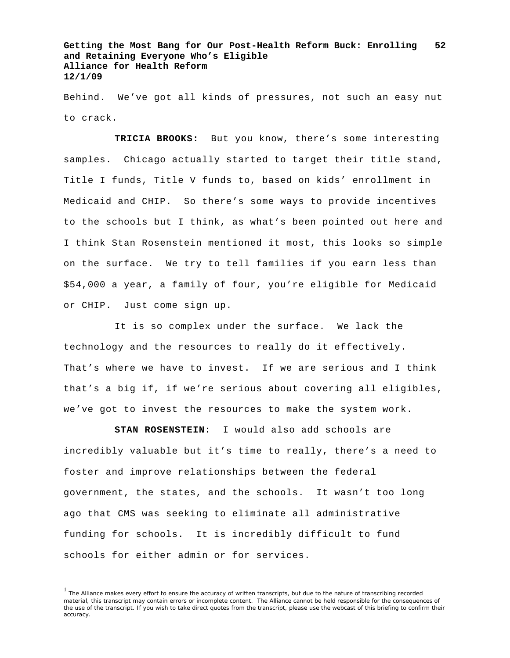Behind. We've got all kinds of pressures, not such an easy nut to crack.

**TRICIA BROOKS:** But you know, there's some interesting samples. Chicago actually started to target their title stand, Title I funds, Title V funds to, based on kids' enrollment in Medicaid and CHIP. So there's some ways to provide incentives to the schools but I think, as what's been pointed out here and I think Stan Rosenstein mentioned it most, this looks so simple on the surface. We try to tell families if you earn less than \$54,000 a year, a family of four, you're eligible for Medicaid or CHIP. Just come sign up.

It is so complex under the surface. We lack the technology and the resources to really do it effectively. That's where we have to invest. If we are serious and I think that's a big if, if we're serious about covering all eligibles, we've got to invest the resources to make the system work.

**STAN ROSENSTEIN:** I would also add schools are incredibly valuable but it's time to really, there's a need to foster and improve relationships between the federal government, the states, and the schools. It wasn't too long ago that CMS was seeking to eliminate all administrative funding for schools. It is incredibly difficult to fund schools for either admin or for services.

 $<sup>1</sup>$  The Alliance makes every effort to ensure the accuracy of written transcripts, but due to the nature of transcribing recorded</sup> material, this transcript may contain errors or incomplete content. The Alliance cannot be held responsible for the consequences of the use of the transcript. If you wish to take direct quotes from the transcript, please use the webcast of this briefing to confirm their accuracy.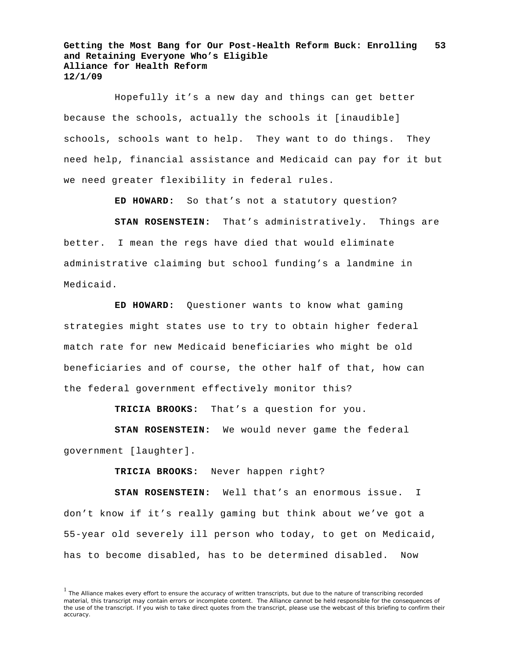Hopefully it's a new day and things can get better because the schools, actually the schools it [inaudible] schools, schools want to help. They want to do things. They need help, financial assistance and Medicaid can pay for it but we need greater flexibility in federal rules.

**ED HOWARD:** So that's not a statutory question?

**STAN ROSENSTEIN:** That's administratively. Things are better. I mean the regs have died that would eliminate administrative claiming but school funding's a landmine in Medicaid.

**ED HOWARD:** Questioner wants to know what gaming strategies might states use to try to obtain higher federal match rate for new Medicaid beneficiaries who might be old beneficiaries and of course, the other half of that, how can the federal government effectively monitor this?

**TRICIA BROOKS:** That's a question for you.

**STAN ROSENSTEIN:** We would never game the federal government [laughter].

**TRICIA BROOKS:** Never happen right?

**STAN ROSENSTEIN:** Well that's an enormous issue. I don't know if it's really gaming but think about we've got a 55-year old severely ill person who today, to get on Medicaid, has to become disabled, has to be determined disabled. Now

<sup>&</sup>lt;sup>1</sup> The Alliance makes every effort to ensure the accuracy of written transcripts, but due to the nature of transcribing recorded material, this transcript may contain errors or incomplete content. The Alliance cannot be held responsible for the consequences of the use of the transcript. If you wish to take direct quotes from the transcript, please use the webcast of this briefing to confirm their accuracy.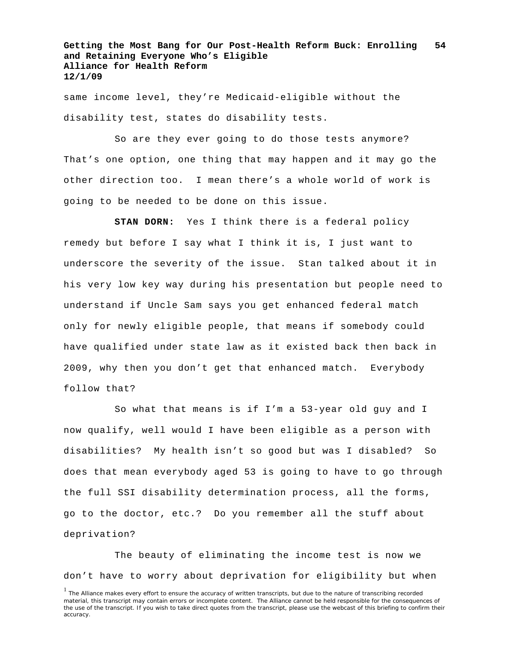same income level, they're Medicaid-eligible without the disability test, states do disability tests.

So are they ever going to do those tests anymore? That's one option, one thing that may happen and it may go the other direction too. I mean there's a whole world of work is going to be needed to be done on this issue.

**STAN DORN:** Yes I think there is a federal policy remedy but before I say what I think it is, I just want to underscore the severity of the issue. Stan talked about it in his very low key way during his presentation but people need to understand if Uncle Sam says you get enhanced federal match only for newly eligible people, that means if somebody could have qualified under state law as it existed back then back in 2009, why then you don't get that enhanced match. Everybody follow that?

So what that means is if I'm a 53-year old guy and I now qualify, well would I have been eligible as a person with disabilities? My health isn't so good but was I disabled? So does that mean everybody aged 53 is going to have to go through the full SSI disability determination process, all the forms, go to the doctor, etc.? Do you remember all the stuff about deprivation?

The beauty of eliminating the income test is now we don't have to worry about deprivation for eligibility but when

<sup>&</sup>lt;sup>1</sup> The Alliance makes every effort to ensure the accuracy of written transcripts, but due to the nature of transcribing recorded material, this transcript may contain errors or incomplete content. The Alliance cannot be held responsible for the consequences of the use of the transcript. If you wish to take direct quotes from the transcript, please use the webcast of this briefing to confirm their accuracy.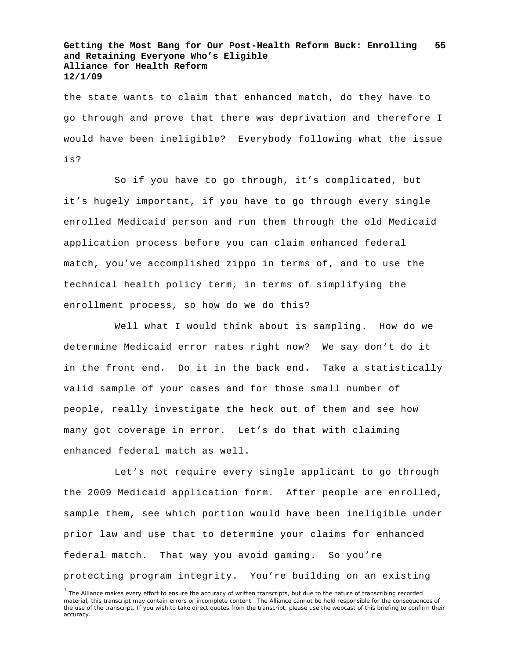the state wants to claim that enhanced match, do they have to go through and prove that there was deprivation and therefore I would have been ineligible? Everybody following what the issue is?

So if you have to go through, it's complicated, but it's hugely important, if you have to go through every single enrolled Medicaid person and run them through the old Medicaid application process before you can claim enhanced federal match, you've accomplished zippo in terms of, and to use the technical health policy term, in terms of simplifying the enrollment process, so how do we do this?

Well what I would think about is sampling. How do we determine Medicaid error rates right now? We say don't do it in the front end. Do it in the back end. Take a statistically valid sample of your cases and for those small number of people, really investigate the heck out of them and see how many got coverage in error. Let's do that with claiming enhanced federal match as well.

Let's not require every single applicant to go through the 2009 Medicaid application form. After people are enrolled, sample them, see which portion would have been ineligible under prior law and use that to determine your claims for enhanced federal match. That way you avoid gaming. So you're protecting program integrity. You're building on an existing

<sup>&</sup>lt;sup>1</sup> The Alliance makes every effort to ensure the accuracy of written transcripts, but due to the nature of transcribing recorded material, this transcript may contain errors or incomplete content. The Alliance cannot be held responsible for the consequences of the use of the transcript. If you wish to take direct quotes from the transcript, please use the webcast of this briefing to confirm their accuracy.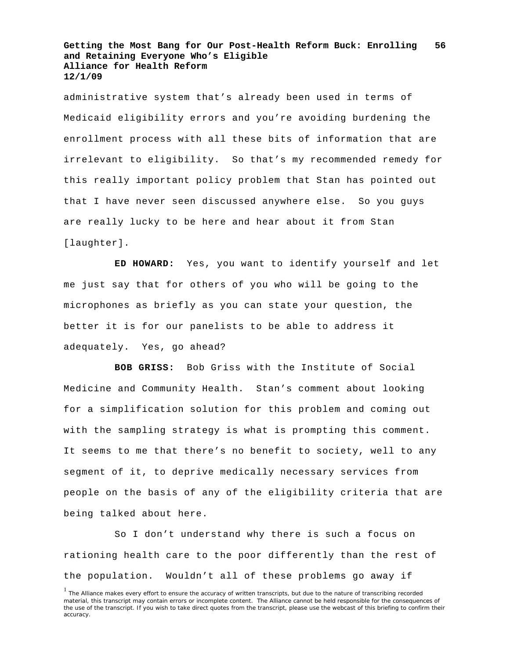administrative system that's already been used in terms of Medicaid eligibility errors and you're avoiding burdening the enrollment process with all these bits of information that are irrelevant to eligibility. So that's my recommended remedy for this really important policy problem that Stan has pointed out that I have never seen discussed anywhere else. So you guys are really lucky to be here and hear about it from Stan [laughter].

**ED HOWARD:** Yes, you want to identify yourself and let me just say that for others of you who will be going to the microphones as briefly as you can state your question, the better it is for our panelists to be able to address it adequately. Yes, go ahead?

**BOB GRISS:** Bob Griss with the Institute of Social Medicine and Community Health. Stan's comment about looking for a simplification solution for this problem and coming out with the sampling strategy is what is prompting this comment. It seems to me that there's no benefit to society, well to any segment of it, to deprive medically necessary services from people on the basis of any of the eligibility criteria that are being talked about here.

So I don't understand why there is such a focus on rationing health care to the poor differently than the rest of the population. Wouldn't all of these problems go away if

<sup>&</sup>lt;sup>1</sup> The Alliance makes every effort to ensure the accuracy of written transcripts, but due to the nature of transcribing recorded material, this transcript may contain errors or incomplete content. The Alliance cannot be held responsible for the consequences of the use of the transcript. If you wish to take direct quotes from the transcript, please use the webcast of this briefing to confirm their accuracy.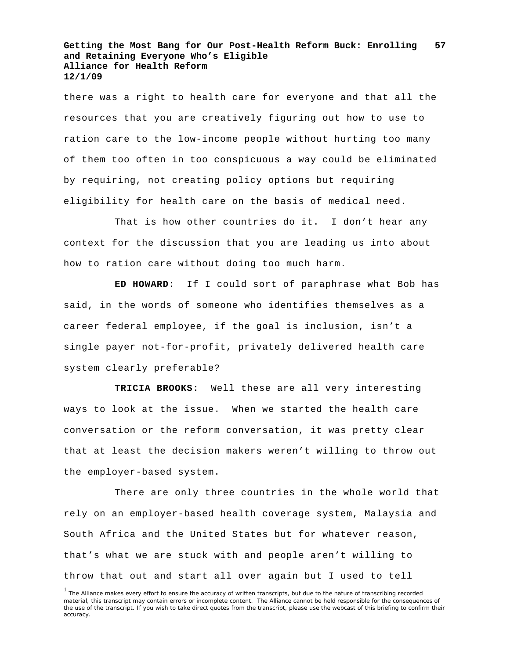there was a right to health care for everyone and that all the resources that you are creatively figuring out how to use to ration care to the low-income people without hurting too many of them too often in too conspicuous a way could be eliminated by requiring, not creating policy options but requiring eligibility for health care on the basis of medical need.

That is how other countries do it. I don't hear any context for the discussion that you are leading us into about how to ration care without doing too much harm.

**ED HOWARD:** If I could sort of paraphrase what Bob has said, in the words of someone who identifies themselves as a career federal employee, if the goal is inclusion, isn't a single payer not-for-profit, privately delivered health care system clearly preferable?

**TRICIA BROOKS:** Well these are all very interesting ways to look at the issue. When we started the health care conversation or the reform conversation, it was pretty clear that at least the decision makers weren't willing to throw out the employer-based system.

There are only three countries in the whole world that rely on an employer-based health coverage system, Malaysia and South Africa and the United States but for whatever reason, that's what we are stuck with and people aren't willing to throw that out and start all over again but I used to tell

<sup>&</sup>lt;sup>1</sup> The Alliance makes every effort to ensure the accuracy of written transcripts, but due to the nature of transcribing recorded material, this transcript may contain errors or incomplete content. The Alliance cannot be held responsible for the consequences of the use of the transcript. If you wish to take direct quotes from the transcript, please use the webcast of this briefing to confirm their accuracy.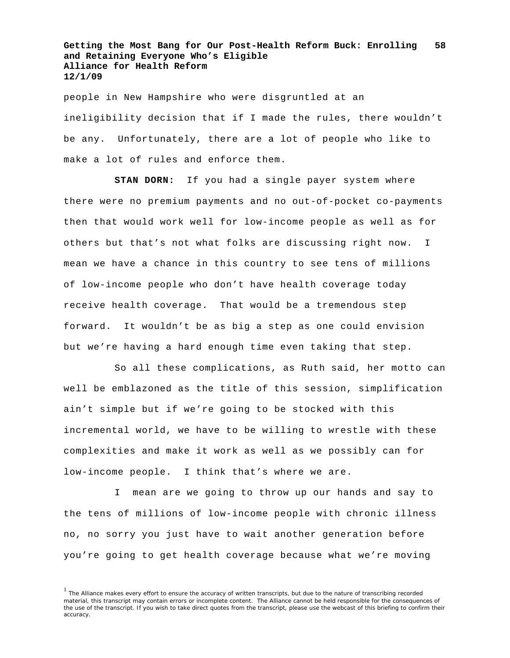people in New Hampshire who were disgruntled at an ineligibility decision that if I made the rules, there wouldn't be any. Unfortunately, there are a lot of people who like to make a lot of rules and enforce them.

**STAN DORN:** If you had a single payer system where there were no premium payments and no out-of-pocket co-payments then that would work well for low-income people as well as for others but that's not what folks are discussing right now. I mean we have a chance in this country to see tens of millions of low-income people who don't have health coverage today receive health coverage. That would be a tremendous step forward. It wouldn't be as big a step as one could envision but we're having a hard enough time even taking that step.

So all these complications, as Ruth said, her motto can well be emblazoned as the title of this session, simplification ain't simple but if we're going to be stocked with this incremental world, we have to be willing to wrestle with these complexities and make it work as well as we possibly can for low-income people. I think that's where we are.

I mean are we going to throw up our hands and say to the tens of millions of low-income people with chronic illness no, no sorry you just have to wait another generation before you're going to get health coverage because what we're moving

<sup>&</sup>lt;sup>1</sup> The Alliance makes every effort to ensure the accuracy of written transcripts, but due to the nature of transcribing recorded material, this transcript may contain errors or incomplete content. The Alliance cannot be held responsible for the consequences of the use of the transcript. If you wish to take direct quotes from the transcript, please use the webcast of this briefing to confirm their accuracy.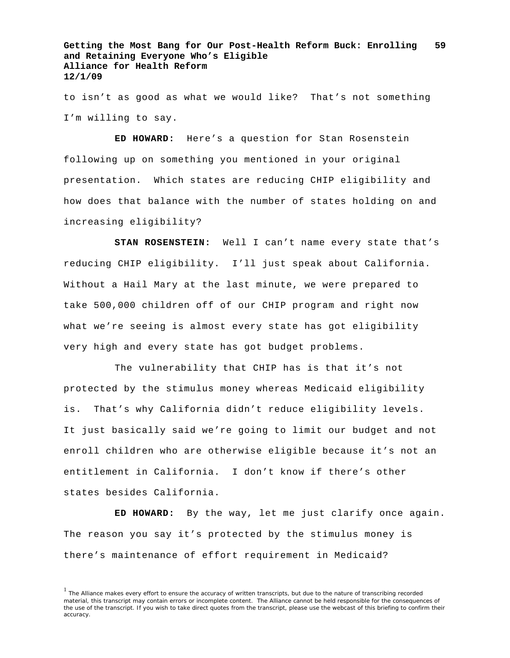to isn't as good as what we would like? That's not something I'm willing to say.

**ED HOWARD:** Here's a question for Stan Rosenstein following up on something you mentioned in your original presentation. Which states are reducing CHIP eligibility and how does that balance with the number of states holding on and increasing eligibility?

**STAN ROSENSTEIN:** Well I can't name every state that's reducing CHIP eligibility. I'll just speak about California. Without a Hail Mary at the last minute, we were prepared to take 500,000 children off of our CHIP program and right now what we're seeing is almost every state has got eligibility very high and every state has got budget problems.

The vulnerability that CHIP has is that it's not protected by the stimulus money whereas Medicaid eligibility is. That's why California didn't reduce eligibility levels. It just basically said we're going to limit our budget and not enroll children who are otherwise eligible because it's not an entitlement in California. I don't know if there's other states besides California.

**ED HOWARD:** By the way, let me just clarify once again. The reason you say it's protected by the stimulus money is there's maintenance of effort requirement in Medicaid?

 $<sup>1</sup>$  The Alliance makes every effort to ensure the accuracy of written transcripts, but due to the nature of transcribing recorded</sup> material, this transcript may contain errors or incomplete content. The Alliance cannot be held responsible for the consequences of the use of the transcript. If you wish to take direct quotes from the transcript, please use the webcast of this briefing to confirm their accuracy.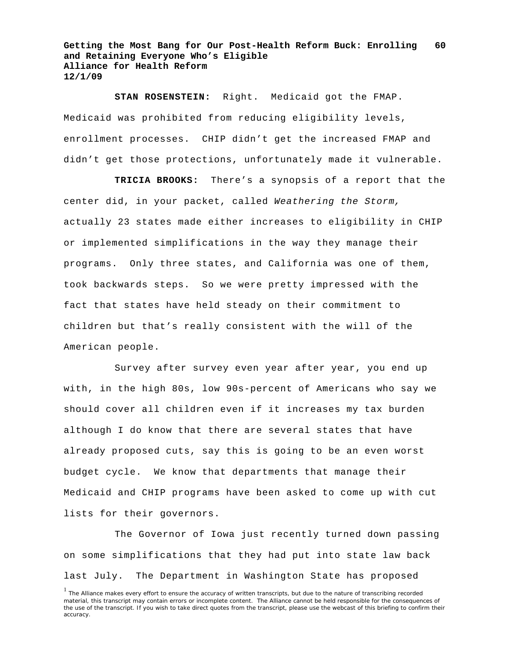**STAN ROSENSTEIN:** Right. Medicaid got the FMAP. Medicaid was prohibited from reducing eligibility levels, enrollment processes. CHIP didn't get the increased FMAP and didn't get those protections, unfortunately made it vulnerable.

**TRICIA BROOKS:** There's a synopsis of a report that the center did, in your packet, called *Weathering the Storm,* actually 23 states made either increases to eligibility in CHIP or implemented simplifications in the way they manage their programs. Only three states, and California was one of them, took backwards steps. So we were pretty impressed with the fact that states have held steady on their commitment to children but that's really consistent with the will of the American people.

Survey after survey even year after year, you end up with, in the high 80s, low 90s-percent of Americans who say we should cover all children even if it increases my tax burden although I do know that there are several states that have already proposed cuts, say this is going to be an even worst budget cycle. We know that departments that manage their Medicaid and CHIP programs have been asked to come up with cut lists for their governors.

The Governor of Iowa just recently turned down passing on some simplifications that they had put into state law back last July. The Department in Washington State has proposed

<sup>&</sup>lt;sup>1</sup> The Alliance makes every effort to ensure the accuracy of written transcripts, but due to the nature of transcribing recorded material, this transcript may contain errors or incomplete content. The Alliance cannot be held responsible for the consequences of the use of the transcript. If you wish to take direct quotes from the transcript, please use the webcast of this briefing to confirm their accuracy.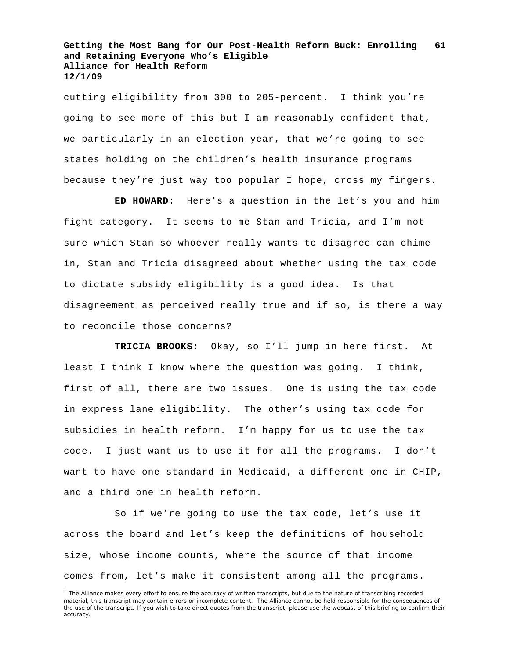cutting eligibility from 300 to 205-percent. I think you're going to see more of this but I am reasonably confident that, we particularly in an election year, that we're going to see states holding on the children's health insurance programs because they're just way too popular I hope, cross my fingers.

**ED HOWARD:** Here's a question in the let's you and him fight category. It seems to me Stan and Tricia, and I'm not sure which Stan so whoever really wants to disagree can chime in, Stan and Tricia disagreed about whether using the tax code to dictate subsidy eligibility is a good idea. Is that disagreement as perceived really true and if so, is there a way to reconcile those concerns?

**TRICIA BROOKS:** Okay, so I'll jump in here first. At least I think I know where the question was going. I think, first of all, there are two issues. One is using the tax code in express lane eligibility. The other's using tax code for subsidies in health reform. I'm happy for us to use the tax code. I just want us to use it for all the programs. I don't want to have one standard in Medicaid, a different one in CHIP, and a third one in health reform.

So if we're going to use the tax code, let's use it across the board and let's keep the definitions of household size, whose income counts, where the source of that income comes from, let's make it consistent among all the programs.

<sup>&</sup>lt;sup>1</sup> The Alliance makes every effort to ensure the accuracy of written transcripts, but due to the nature of transcribing recorded material, this transcript may contain errors or incomplete content. The Alliance cannot be held responsible for the consequences of the use of the transcript. If you wish to take direct quotes from the transcript, please use the webcast of this briefing to confirm their accuracy.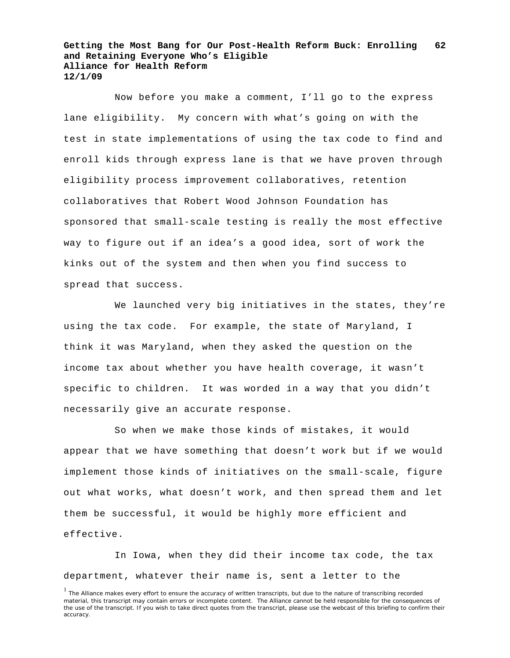Now before you make a comment, I'll go to the express lane eligibility. My concern with what's going on with the test in state implementations of using the tax code to find and enroll kids through express lane is that we have proven through eligibility process improvement collaboratives, retention collaboratives that Robert Wood Johnson Foundation has sponsored that small-scale testing is really the most effective way to figure out if an idea's a good idea, sort of work the kinks out of the system and then when you find success to spread that success.

We launched very big initiatives in the states, they're using the tax code. For example, the state of Maryland, I think it was Maryland, when they asked the question on the income tax about whether you have health coverage, it wasn't specific to children. It was worded in a way that you didn't necessarily give an accurate response.

So when we make those kinds of mistakes, it would appear that we have something that doesn't work but if we would implement those kinds of initiatives on the small-scale, figure out what works, what doesn't work, and then spread them and let them be successful, it would be highly more efficient and effective.

In Iowa, when they did their income tax code, the tax department, whatever their name is, sent a letter to the

<sup>&</sup>lt;sup>1</sup> The Alliance makes every effort to ensure the accuracy of written transcripts, but due to the nature of transcribing recorded material, this transcript may contain errors or incomplete content. The Alliance cannot be held responsible for the consequences of the use of the transcript. If you wish to take direct quotes from the transcript, please use the webcast of this briefing to confirm their accuracy.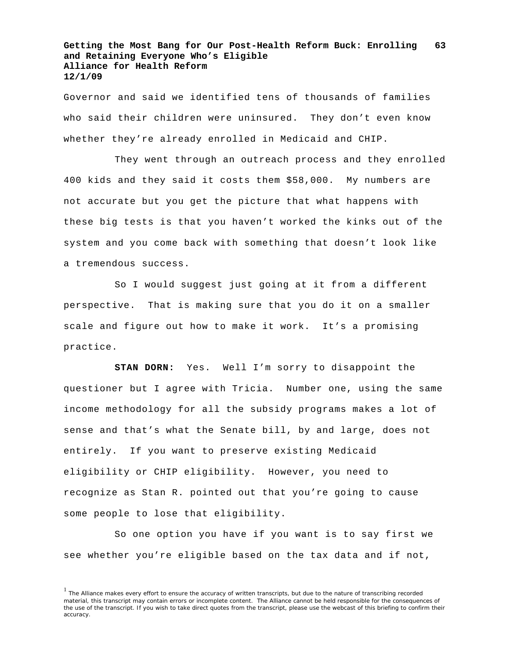Governor and said we identified tens of thousands of families who said their children were uninsured. They don't even know whether they're already enrolled in Medicaid and CHIP.

They went through an outreach process and they enrolled 400 kids and they said it costs them \$58,000. My numbers are not accurate but you get the picture that what happens with these big tests is that you haven't worked the kinks out of the system and you come back with something that doesn't look like a tremendous success.

So I would suggest just going at it from a different perspective. That is making sure that you do it on a smaller scale and figure out how to make it work. It's a promising practice.

**STAN DORN:** Yes. Well I'm sorry to disappoint the questioner but I agree with Tricia. Number one, using the same income methodology for all the subsidy programs makes a lot of sense and that's what the Senate bill, by and large, does not entirely. If you want to preserve existing Medicaid eligibility or CHIP eligibility. However, you need to recognize as Stan R. pointed out that you're going to cause some people to lose that eligibility.

So one option you have if you want is to say first we see whether you're eligible based on the tax data and if not,

 $<sup>1</sup>$  The Alliance makes every effort to ensure the accuracy of written transcripts, but due to the nature of transcribing recorded</sup> material, this transcript may contain errors or incomplete content. The Alliance cannot be held responsible for the consequences of the use of the transcript. If you wish to take direct quotes from the transcript, please use the webcast of this briefing to confirm their accuracy.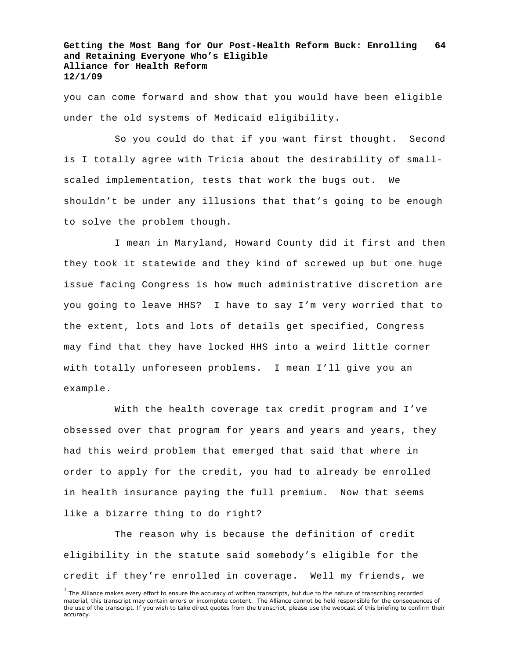you can come forward and show that you would have been eligible under the old systems of Medicaid eligibility.

So you could do that if you want first thought. Second is I totally agree with Tricia about the desirability of smallscaled implementation, tests that work the bugs out. We shouldn't be under any illusions that that's going to be enough to solve the problem though.

I mean in Maryland, Howard County did it first and then they took it statewide and they kind of screwed up but one huge issue facing Congress is how much administrative discretion are you going to leave HHS? I have to say I'm very worried that to the extent, lots and lots of details get specified, Congress may find that they have locked HHS into a weird little corner with totally unforeseen problems. I mean I'll give you an example.

With the health coverage tax credit program and I've obsessed over that program for years and years and years, they had this weird problem that emerged that said that where in order to apply for the credit, you had to already be enrolled in health insurance paying the full premium. Now that seems like a bizarre thing to do right?

The reason why is because the definition of credit eligibility in the statute said somebody's eligible for the credit if they're enrolled in coverage. Well my friends, we

<sup>&</sup>lt;sup>1</sup> The Alliance makes every effort to ensure the accuracy of written transcripts, but due to the nature of transcribing recorded material, this transcript may contain errors or incomplete content. The Alliance cannot be held responsible for the consequences of the use of the transcript. If you wish to take direct quotes from the transcript, please use the webcast of this briefing to confirm their accuracy.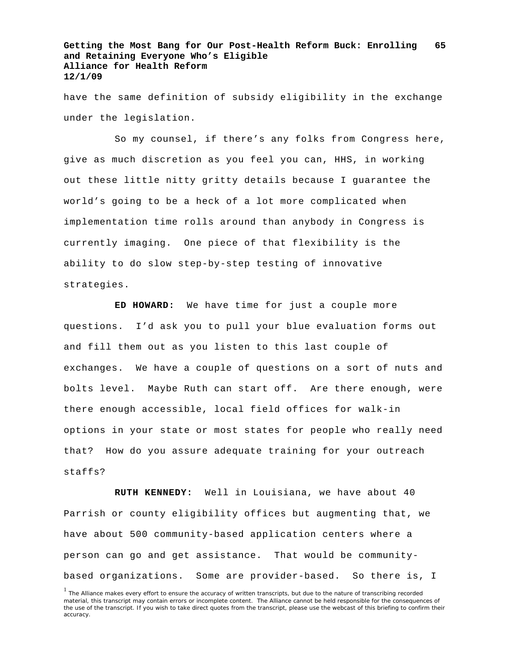have the same definition of subsidy eligibility in the exchange under the legislation.

So my counsel, if there's any folks from Congress here, give as much discretion as you feel you can, HHS, in working out these little nitty gritty details because I guarantee the world's going to be a heck of a lot more complicated when implementation time rolls around than anybody in Congress is currently imaging. One piece of that flexibility is the ability to do slow step-by-step testing of innovative strategies.

**ED HOWARD:** We have time for just a couple more questions. I'd ask you to pull your blue evaluation forms out and fill them out as you listen to this last couple of exchanges. We have a couple of questions on a sort of nuts and bolts level. Maybe Ruth can start off. Are there enough, were there enough accessible, local field offices for walk-in options in your state or most states for people who really need that? How do you assure adequate training for your outreach staffs?

**RUTH KENNEDY:** Well in Louisiana, we have about 40 Parrish or county eligibility offices but augmenting that, we have about 500 community-based application centers where a person can go and get assistance. That would be communitybased organizations. Some are provider-based. So there is, I

<sup>&</sup>lt;sup>1</sup> The Alliance makes every effort to ensure the accuracy of written transcripts, but due to the nature of transcribing recorded material, this transcript may contain errors or incomplete content. The Alliance cannot be held responsible for the consequences of the use of the transcript. If you wish to take direct quotes from the transcript, please use the webcast of this briefing to confirm their accuracy.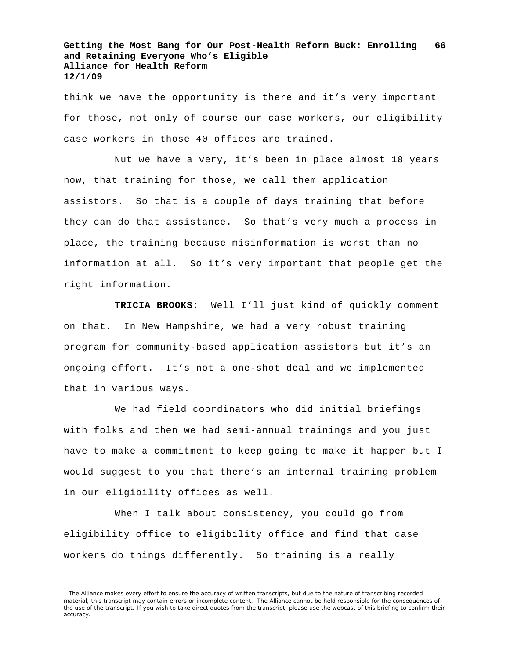think we have the opportunity is there and it's very important for those, not only of course our case workers, our eligibility case workers in those 40 offices are trained.

Nut we have a very, it's been in place almost 18 years now, that training for those, we call them application assistors. So that is a couple of days training that before they can do that assistance. So that's very much a process in place, the training because misinformation is worst than no information at all. So it's very important that people get the right information.

**TRICIA BROOKS:** Well I'll just kind of quickly comment on that. In New Hampshire, we had a very robust training program for community-based application assistors but it's an ongoing effort. It's not a one-shot deal and we implemented that in various ways.

We had field coordinators who did initial briefings with folks and then we had semi-annual trainings and you just have to make a commitment to keep going to make it happen but I would suggest to you that there's an internal training problem in our eligibility offices as well.

When I talk about consistency, you could go from eligibility office to eligibility office and find that case workers do things differently. So training is a really

<sup>&</sup>lt;sup>1</sup> The Alliance makes every effort to ensure the accuracy of written transcripts, but due to the nature of transcribing recorded material, this transcript may contain errors or incomplete content. The Alliance cannot be held responsible for the consequences of the use of the transcript. If you wish to take direct quotes from the transcript, please use the webcast of this briefing to confirm their accuracy.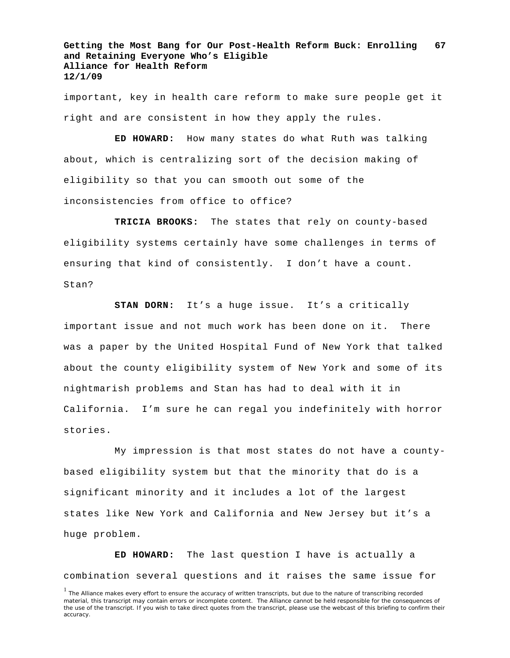important, key in health care reform to make sure people get it right and are consistent in how they apply the rules.

**ED HOWARD:** How many states do what Ruth was talking about, which is centralizing sort of the decision making of eligibility so that you can smooth out some of the inconsistencies from office to office?

**TRICIA BROOKS:** The states that rely on county-based eligibility systems certainly have some challenges in terms of ensuring that kind of consistently. I don't have a count. Stan?

**STAN DORN:** It's a huge issue. It's a critically important issue and not much work has been done on it. There was a paper by the United Hospital Fund of New York that talked about the county eligibility system of New York and some of its nightmarish problems and Stan has had to deal with it in California. I'm sure he can regal you indefinitely with horror stories.

My impression is that most states do not have a countybased eligibility system but that the minority that do is a significant minority and it includes a lot of the largest states like New York and California and New Jersey but it's a huge problem.

**ED HOWARD:** The last question I have is actually a combination several questions and it raises the same issue for

<sup>&</sup>lt;sup>1</sup> The Alliance makes every effort to ensure the accuracy of written transcripts, but due to the nature of transcribing recorded material, this transcript may contain errors or incomplete content. The Alliance cannot be held responsible for the consequences of the use of the transcript. If you wish to take direct quotes from the transcript, please use the webcast of this briefing to confirm their accuracy.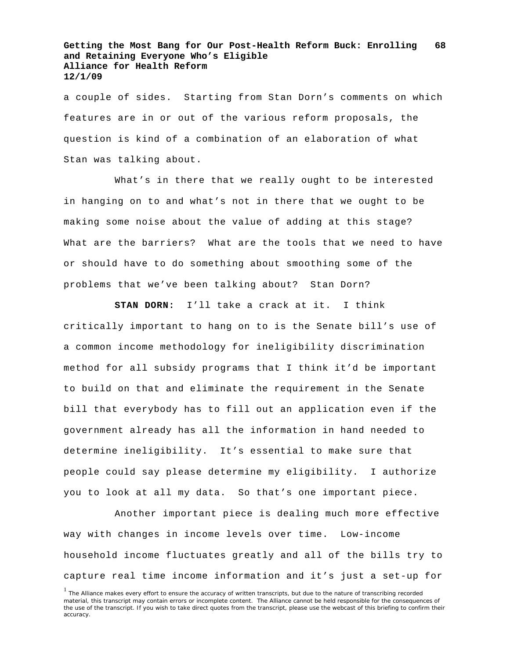a couple of sides. Starting from Stan Dorn's comments on which features are in or out of the various reform proposals, the question is kind of a combination of an elaboration of what Stan was talking about.

What's in there that we really ought to be interested in hanging on to and what's not in there that we ought to be making some noise about the value of adding at this stage? What are the barriers? What are the tools that we need to have or should have to do something about smoothing some of the problems that we've been talking about? Stan Dorn?

**STAN DORN:** I'll take a crack at it. I think critically important to hang on to is the Senate bill's use of a common income methodology for ineligibility discrimination method for all subsidy programs that I think it'd be important to build on that and eliminate the requirement in the Senate bill that everybody has to fill out an application even if the government already has all the information in hand needed to determine ineligibility. It's essential to make sure that people could say please determine my eligibility. I authorize you to look at all my data. So that's one important piece.

Another important piece is dealing much more effective way with changes in income levels over time. Low-income household income fluctuates greatly and all of the bills try to capture real time income information and it's just a set-up for

<sup>&</sup>lt;sup>1</sup> The Alliance makes every effort to ensure the accuracy of written transcripts, but due to the nature of transcribing recorded material, this transcript may contain errors or incomplete content. The Alliance cannot be held responsible for the consequences of the use of the transcript. If you wish to take direct quotes from the transcript, please use the webcast of this briefing to confirm their accuracy.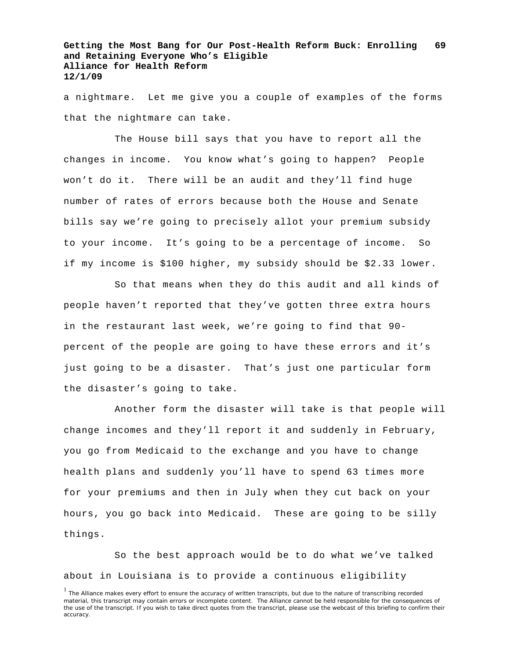a nightmare. Let me give you a couple of examples of the forms that the nightmare can take.

The House bill says that you have to report all the changes in income. You know what's going to happen? People won't do it. There will be an audit and they'll find huge number of rates of errors because both the House and Senate bills say we're going to precisely allot your premium subsidy to your income. It's going to be a percentage of income. So if my income is \$100 higher, my subsidy should be \$2.33 lower.

So that means when they do this audit and all kinds of people haven't reported that they've gotten three extra hours in the restaurant last week, we're going to find that 90 percent of the people are going to have these errors and it's just going to be a disaster. That's just one particular form the disaster's going to take.

Another form the disaster will take is that people will change incomes and they'll report it and suddenly in February, you go from Medicaid to the exchange and you have to change health plans and suddenly you'll have to spend 63 times more for your premiums and then in July when they cut back on your hours, you go back into Medicaid. These are going to be silly things.

So the best approach would be to do what we've talked about in Louisiana is to provide a continuous eligibility

<sup>&</sup>lt;sup>1</sup> The Alliance makes every effort to ensure the accuracy of written transcripts, but due to the nature of transcribing recorded material, this transcript may contain errors or incomplete content. The Alliance cannot be held responsible for the consequences of the use of the transcript. If you wish to take direct quotes from the transcript, please use the webcast of this briefing to confirm their accuracy.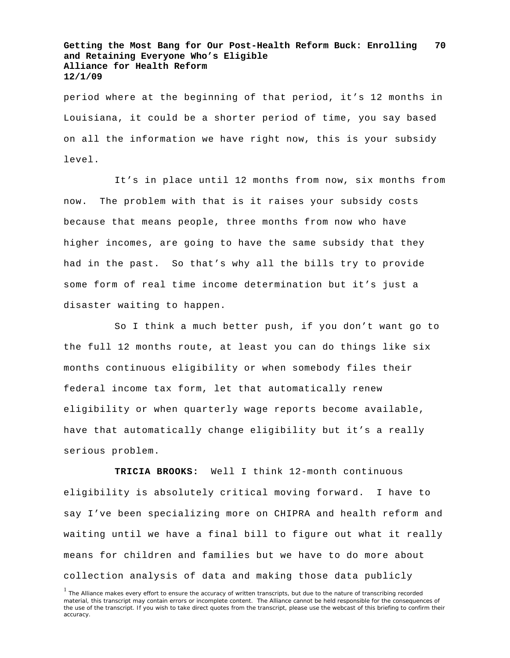period where at the beginning of that period, it's 12 months in Louisiana, it could be a shorter period of time, you say based on all the information we have right now, this is your subsidy level.

It's in place until 12 months from now, six months from now. The problem with that is it raises your subsidy costs because that means people, three months from now who have higher incomes, are going to have the same subsidy that they had in the past. So that's why all the bills try to provide some form of real time income determination but it's just a disaster waiting to happen.

So I think a much better push, if you don't want go to the full 12 months route, at least you can do things like six months continuous eligibility or when somebody files their federal income tax form, let that automatically renew eligibility or when quarterly wage reports become available, have that automatically change eligibility but it's a really serious problem.

**TRICIA BROOKS:** Well I think 12-month continuous eligibility is absolutely critical moving forward. I have to say I've been specializing more on CHIPRA and health reform and waiting until we have a final bill to figure out what it really means for children and families but we have to do more about collection analysis of data and making those data publicly

<sup>&</sup>lt;sup>1</sup> The Alliance makes every effort to ensure the accuracy of written transcripts, but due to the nature of transcribing recorded material, this transcript may contain errors or incomplete content. The Alliance cannot be held responsible for the consequences of the use of the transcript. If you wish to take direct quotes from the transcript, please use the webcast of this briefing to confirm their accuracy.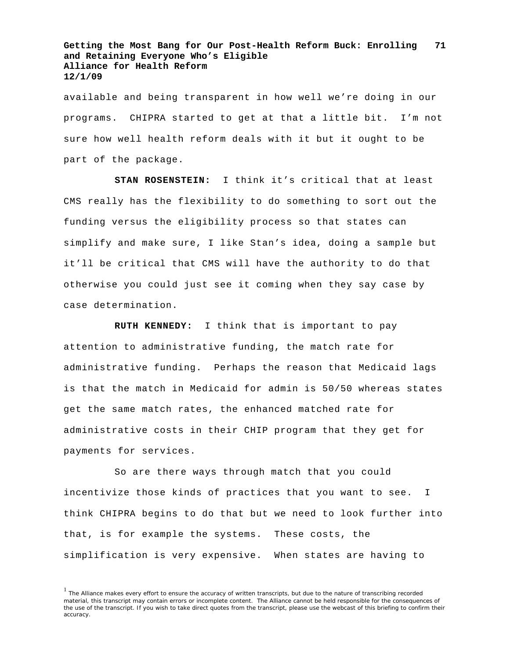available and being transparent in how well we're doing in our programs. CHIPRA started to get at that a little bit. I'm not sure how well health reform deals with it but it ought to be part of the package.

**STAN ROSENSTEIN:** I think it's critical that at least CMS really has the flexibility to do something to sort out the funding versus the eligibility process so that states can simplify and make sure, I like Stan's idea, doing a sample but it'll be critical that CMS will have the authority to do that otherwise you could just see it coming when they say case by case determination.

**RUTH KENNEDY:** I think that is important to pay attention to administrative funding, the match rate for administrative funding. Perhaps the reason that Medicaid lags is that the match in Medicaid for admin is 50/50 whereas states get the same match rates, the enhanced matched rate for administrative costs in their CHIP program that they get for payments for services.

So are there ways through match that you could incentivize those kinds of practices that you want to see. I think CHIPRA begins to do that but we need to look further into that, is for example the systems. These costs, the simplification is very expensive. When states are having to

 $<sup>1</sup>$  The Alliance makes every effort to ensure the accuracy of written transcripts, but due to the nature of transcribing recorded</sup> material, this transcript may contain errors or incomplete content. The Alliance cannot be held responsible for the consequences of the use of the transcript. If you wish to take direct quotes from the transcript, please use the webcast of this briefing to confirm their accuracy.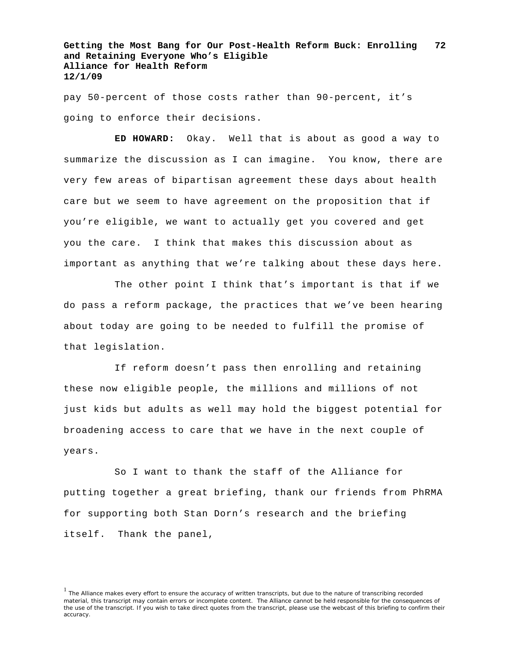pay 50-percent of those costs rather than 90-percent, it's going to enforce their decisions.

**ED HOWARD:** Okay. Well that is about as good a way to summarize the discussion as I can imagine. You know, there are very few areas of bipartisan agreement these days about health care but we seem to have agreement on the proposition that if you're eligible, we want to actually get you covered and get you the care. I think that makes this discussion about as important as anything that we're talking about these days here.

The other point I think that's important is that if we do pass a reform package, the practices that we've been hearing about today are going to be needed to fulfill the promise of that legislation.

If reform doesn't pass then enrolling and retaining these now eligible people, the millions and millions of not just kids but adults as well may hold the biggest potential for broadening access to care that we have in the next couple of years.

So I want to thank the staff of the Alliance for putting together a great briefing, thank our friends from PhRMA for supporting both Stan Dorn's research and the briefing itself. Thank the panel,

<sup>&</sup>lt;sup>1</sup> The Alliance makes every effort to ensure the accuracy of written transcripts, but due to the nature of transcribing recorded material, this transcript may contain errors or incomplete content. The Alliance cannot be held responsible for the consequences of the use of the transcript. If you wish to take direct quotes from the transcript, please use the webcast of this briefing to confirm their accuracy.